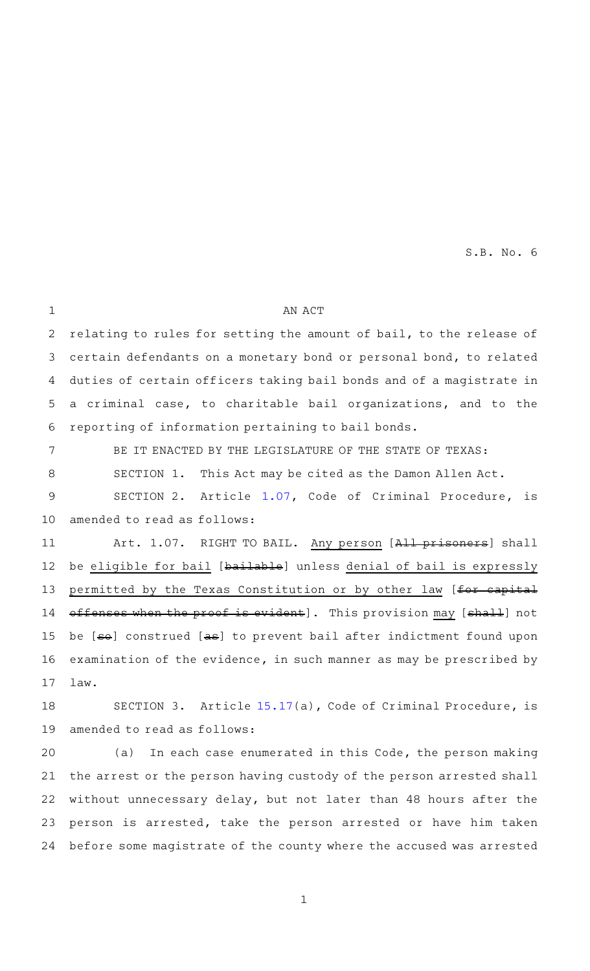AN ACT relating to rules for setting the amount of bail, to the release of certain defendants on a monetary bond or personal bond, to related duties of certain officers taking bail bonds and of a magistrate in a criminal case, to charitable bail organizations, and to the reporting of information pertaining to bail bonds. BE IT ENACTED BY THE LEGISLATURE OF THE STATE OF TEXAS: SECTION 1. This Act may be cited as the Damon Allen Act. SECTION 2. Article [1.07](http://www.statutes.legis.state.tx.us/GetStatute.aspx?Code=CR&Value=1.07&Date=8/31/2021), Code of Criminal Procedure, is amended to read as follows: Art. 1.07. RIGHT TO BAIL. Any person [All prisoners] shall be eligible for bail [bailable] unless denial of bail is expressly permitted by the Texas Constitution or by other law [for capital offenses when the proof is evident]. This provision may [shall] not be [so] construed [as] to prevent bail after indictment found upon examination of the evidence, in such manner as may be prescribed by law. SECTION 3. Article  $15.17(a)$  $15.17(a)$ , Code of Criminal Procedure, is amended to read as follows: (a) In each case enumerated in this Code, the person making 1 2 3 4 5 6 7 8 9 10 11 12 13 14 15 16 17 18 19 20

the arrest or the person having custody of the person arrested shall without unnecessary delay, but not later than 48 hours after the person is arrested, take the person arrested or have him taken before some magistrate of the county where the accused was arrested 21 22 23 24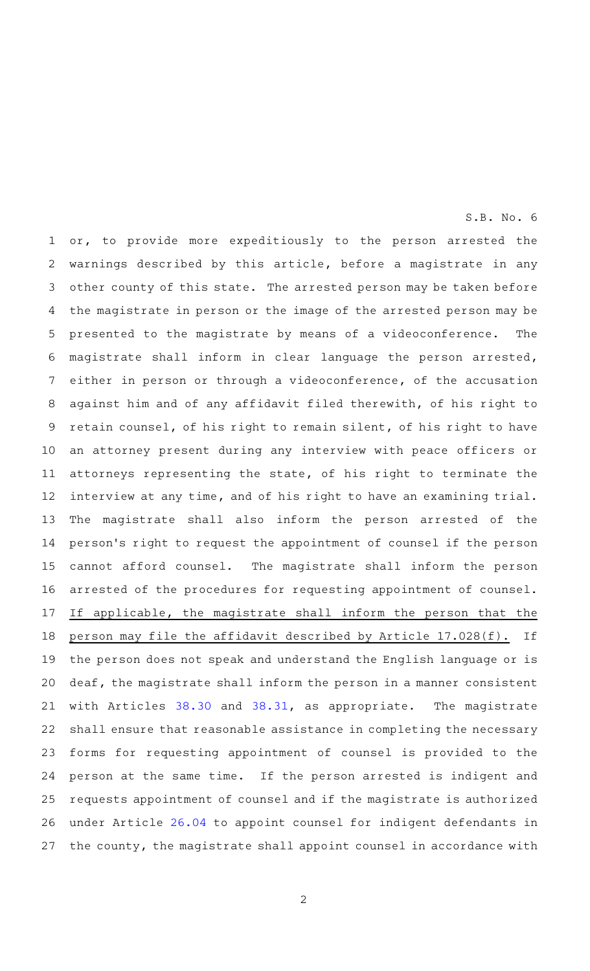or, to provide more expeditiously to the person arrested the warnings described by this article, before a magistrate in any other county of this state. The arrested person may be taken before the magistrate in person or the image of the arrested person may be presented to the magistrate by means of a videoconference. The magistrate shall inform in clear language the person arrested, either in person or through a videoconference, of the accusation against him and of any affidavit filed therewith, of his right to retain counsel, of his right to remain silent, of his right to have an attorney present during any interview with peace officers or attorneys representing the state, of his right to terminate the interview at any time, and of his right to have an examining trial. The magistrate shall also inform the person arrested of the person 's right to request the appointment of counsel if the person cannot afford counsel. The magistrate shall inform the person arrested of the procedures for requesting appointment of counsel. If applicable, the magistrate shall inform the person that the person may file the affidavit described by Article 17.028(f). If the person does not speak and understand the English language or is deaf, the magistrate shall inform the person in a manner consistent with Articles [38.30](http://www.statutes.legis.state.tx.us/GetStatute.aspx?Code=CR&Value=38.30&Date=8/31/2021) and [38.31,](http://www.statutes.legis.state.tx.us/GetStatute.aspx?Code=CR&Value=38.31&Date=8/31/2021) as appropriate. The magistrate shall ensure that reasonable assistance in completing the necessary forms for requesting appointment of counsel is provided to the person at the same time. If the person arrested is indigent and requests appointment of counsel and if the magistrate is authorized under Article [26.04](http://www.statutes.legis.state.tx.us/GetStatute.aspx?Code=CR&Value=26.04&Date=8/31/2021) to appoint counsel for indigent defendants in the county, the magistrate shall appoint counsel in accordance with 1 2 3 4 5 6 7 8 9 10 11 12 13 14 15 16 17 18 19 20 21 22 23 24 25 26 27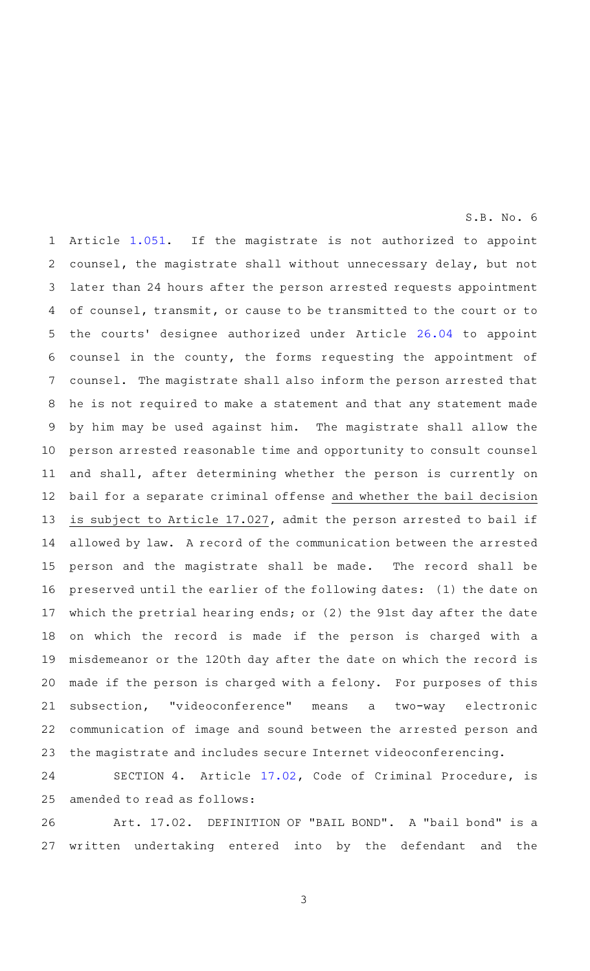Article [1.051.](http://www.statutes.legis.state.tx.us/GetStatute.aspx?Code=CR&Value=1.051&Date=8/31/2021) If the magistrate is not authorized to appoint counsel, the magistrate shall without unnecessary delay, but not later than 24 hours after the person arrested requests appointment of counsel, transmit, or cause to be transmitted to the court or to the courts' designee authorized under Article [26.04](http://www.statutes.legis.state.tx.us/GetStatute.aspx?Code=CR&Value=26.04&Date=8/31/2021) to appoint counsel in the county, the forms requesting the appointment of counsel. The magistrate shall also inform the person arrested that he is not required to make a statement and that any statement made by him may be used against him. The magistrate shall allow the person arrested reasonable time and opportunity to consult counsel and shall, after determining whether the person is currently on bail for a separate criminal offense and whether the bail decision is subject to Article 17.027, admit the person arrested to bail if allowed by law. A record of the communication between the arrested person and the magistrate shall be made. The record shall be preserved until the earlier of the following dates: (1) the date on which the pretrial hearing ends; or (2) the 91st day after the date on which the record is made if the person is charged with a misdemeanor or the 120th day after the date on which the record is made if the person is charged with a felony. For purposes of this subsection, "videoconference" means a two-way electronic communication of image and sound between the arrested person and the magistrate and includes secure Internet videoconferencing. 1 2 3 4 5 6 7 8 9 10 11 12 13 14 15 16 17 18 19 20 21 22 23

SECTION 4. Article [17.02,](http://www.statutes.legis.state.tx.us/GetStatute.aspx?Code=CR&Value=17.02&Date=8/31/2021) Code of Criminal Procedure, is amended to read as follows: 24 25

Art. 17.02. DEFINITION OF "BAIL BOND". A "bail bond" is a written undertaking entered into by the defendant and the 26 27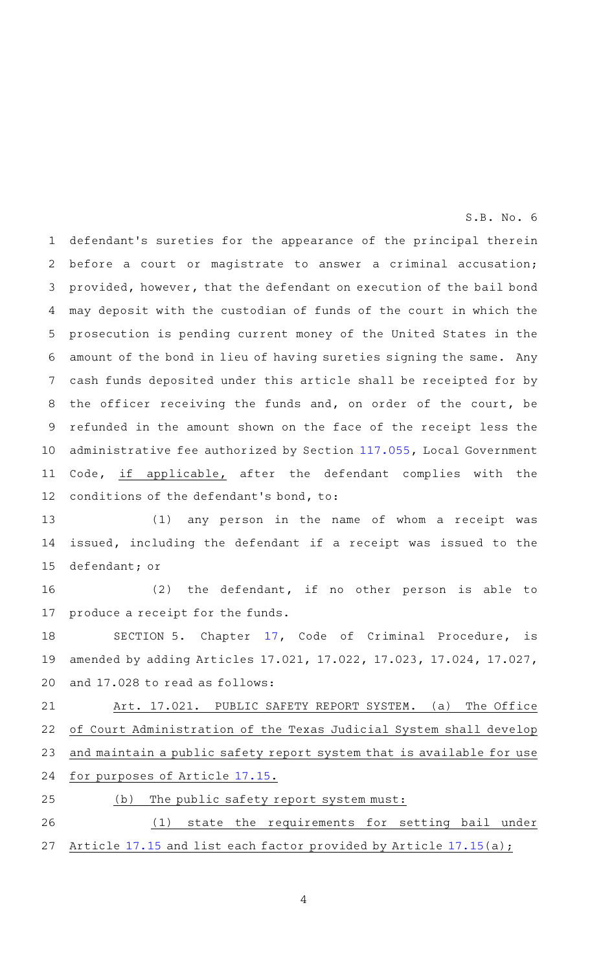defendant 's sureties for the appearance of the principal therein before a court or magistrate to answer a criminal accusation; provided, however, that the defendant on execution of the bail bond may deposit with the custodian of funds of the court in which the prosecution is pending current money of the United States in the amount of the bond in lieu of having sureties signing the same. Any cash funds deposited under this article shall be receipted for by the officer receiving the funds and, on order of the court, be refunded in the amount shown on the face of the receipt less the administrative fee authorized by Section [117.055,](http://www.statutes.legis.state.tx.us/GetStatute.aspx?Code=LG&Value=117.055&Date=8/31/2021) Local Government Code, if applicable, after the defendant complies with the conditions of the defendant 's bond, to: 1 2 3 4 5 6 7 8 9 10 11 12

 $S.B. No.6$ 

(1) any person in the name of whom a receipt was issued, including the defendant if a receipt was issued to the defendant; or 13 14 15

 $(2)$  the defendant, if no other person is able to produce a receipt for the funds. 16 17

SECTION 5. Chapter [17,](http://www.statutes.legis.state.tx.us/GetStatute.aspx?Code=CR&Value=17&Date=8/31/2021) Code of Criminal Procedure, is amended by adding Articles 17.021, 17.022, 17.023, 17.024, 17.027, and 17.028 to read as follows: 18 19 20

Art. 17.021. PUBLIC SAFETY REPORT SYSTEM. (a) The Office of Court Administration of the Texas Judicial System shall develop and maintain a public safety report system that is available for use for purposes of Article [17.15.](http://www.statutes.legis.state.tx.us/GetStatute.aspx?Code=CR&Value=17.15&Date=8/31/2021) 21 22 23 24

25

 $(b)$  The public safety report system must:

(1) state the requirements for setting bail under Article [17.15](http://www.statutes.legis.state.tx.us/GetStatute.aspx?Code=CR&Value=17.15&Date=8/31/2021) and list each factor provided by Article [17.15](http://www.statutes.legis.state.tx.us/GetStatute.aspx?Code=CR&Value=17.15&Date=8/31/2021)(a); 26 27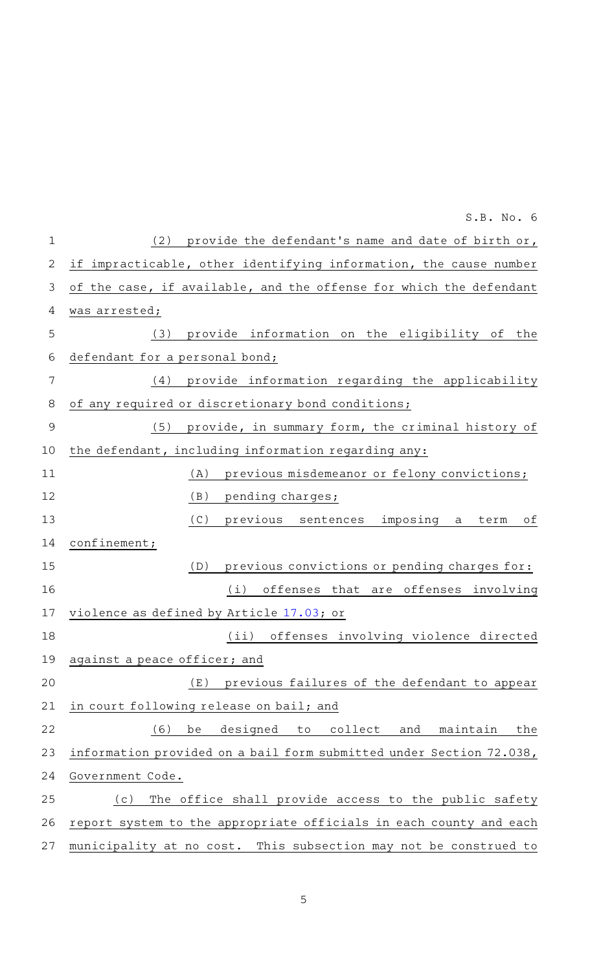| $\mathbf 1$ | (2) provide the defendant's name and date of birth or,              |
|-------------|---------------------------------------------------------------------|
| 2           | if impracticable, other identifying information, the cause number   |
| 3           | of the case, if available, and the offense for which the defendant  |
| 4           | was arrested;                                                       |
| 5           | provide information on the eligibility of the<br>(3)                |
| 6           | defendant for a personal bond;                                      |
| 7           | provide information regarding the applicability<br>(4)              |
| 8           | of any required or discretionary bond conditions;                   |
| 9           | (5)<br>provide, in summary form, the criminal history of            |
| 10          | the defendant, including information regarding any:                 |
| 11          | previous misdemeanor or felony convictions;<br>(A)                  |
| 12          | (B)<br>pending charges;                                             |
| 13          | (C)<br>previous sentences imposing a<br>оf<br>term                  |
| 14          | confinement;                                                        |
| 15          | previous convictions or pending charges for:<br>(D)                 |
| 16          | (i)<br>offenses that are offenses involving                         |
| 17          | violence as defined by Article 17.03; or                            |
| 18          | (ii) offenses involving violence directed                           |
|             | 19 against a peace officer; and                                     |
| 20          | previous failures of the defendant to appear<br>( E )               |
| 21          | in court following release on bail; and                             |
| 22          | (6)<br>be<br>designed to<br>collect<br>and<br>maintain<br>the       |
| 23          | information provided on a bail form submitted under Section 72.038, |
| 24          | Government Code.                                                    |
| 25          | The office shall provide access to the public safety<br>(c)         |
| 26          | report system to the appropriate officials in each county and each  |
| 27          | municipality at no cost. This subsection may not be construed to    |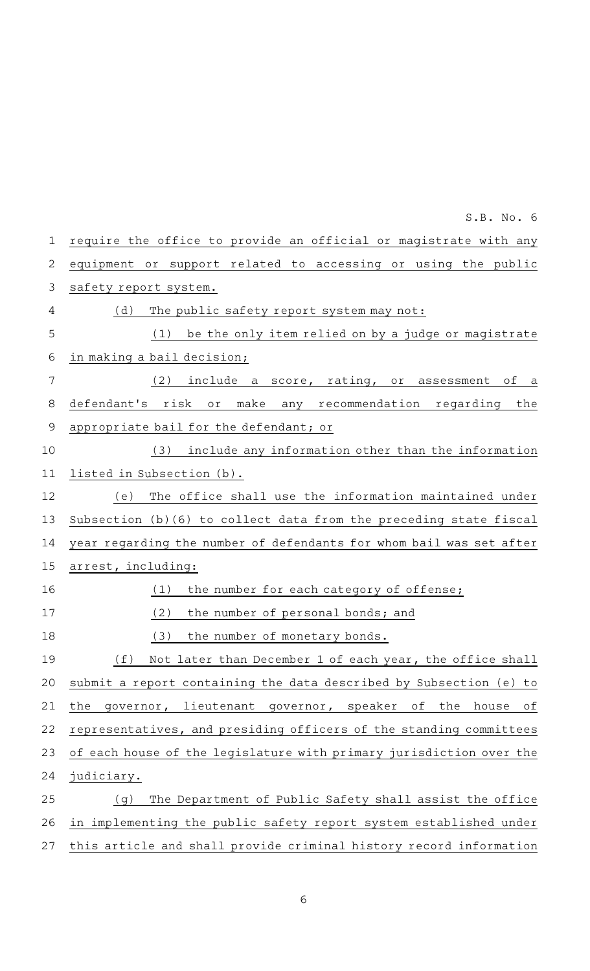require the office to provide an official or magistrate with any equipment or support related to accessing or using the public safety report system.  $(d)$  The public safety report system may not: (1) be the only item relied on by a judge or magistrate in making a bail decision;  $(2)$  include a score, rating, or assessment of a defendant 's risk or make any recommendation regarding the appropriate bail for the defendant; or (3) include any information other than the information listed in Subsection (b). (e) The office shall use the information maintained under Subsection (b)(6) to collect data from the preceding state fiscal year regarding the number of defendants for whom bail was set after arrest, including:  $(1)$  the number for each category of offense; (2) the number of personal bonds; and (3) the number of monetary bonds. (f) Not later than December 1 of each year, the office shall submit a report containing the data described by Subsection (e) to the governor, lieutenant governor, speaker of the house of representatives, and presiding officers of the standing committees of each house of the legislature with primary jurisdiction over the judiciary. (g) The Department of Public Safety shall assist the office in implementing the public safety report system established under this article and shall provide criminal history record information 1 2 3 4 5 6 7 8 9 10 11 12 13 14 15 16 17 18 19 20 21 22 23 24 25 26 27

 $S.B. No.6$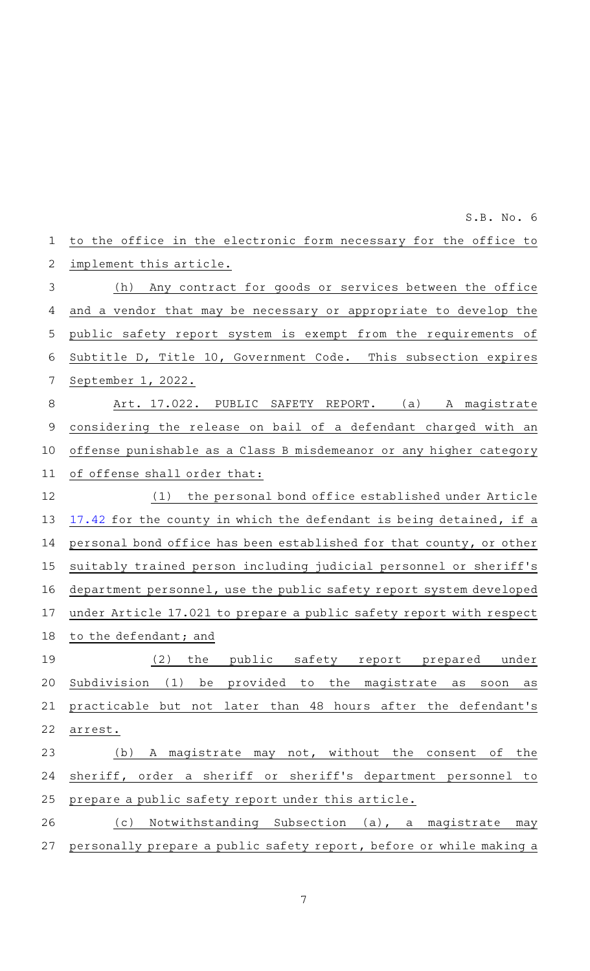| 1           | to the office in the electronic form necessary for the office to     |
|-------------|----------------------------------------------------------------------|
| 2           | implement this article.                                              |
| 3           | (h) Any contract for goods or services between the office            |
| 4           | and a vendor that may be necessary or appropriate to develop the     |
| 5           | public safety report system is exempt from the requirements of       |
| 6           | Subtitle D, Title 10, Government Code. This subsection expires       |
| 7           | September 1, 2022.                                                   |
| 8           | Art. 17.022. PUBLIC SAFETY REPORT. (a) A magistrate                  |
| $\mathsf 9$ | considering the release on bail of a defendant charged with an       |
| 10          | offense punishable as a Class B misdemeanor or any higher category   |
| 11          | of offense shall order that:                                         |
| 12          | (1)<br>the personal bond office established under Article            |
| 13          | 17.42 for the county in which the defendant is being detained, if a  |
| 14          | personal bond office has been established for that county, or other  |
| 15          | suitably trained person including judicial personnel or sheriff's    |
| 16          | department personnel, use the public safety report system developed  |
| 17          | under Article 17.021 to prepare a public safety report with respect  |
| 18          | to the defendant; and                                                |
| 19          | (2)<br>the public safety report prepared<br>under                    |
| 20          | Subdivision (1) be provided to<br>the magistrate<br>as<br>soon<br>as |
| 21          | practicable but not later than 48 hours after the defendant's        |
| 22          | arrest.                                                              |
| 23          | (b) A magistrate may not, without the consent of the                 |
| 24          | sheriff, order a sheriff or sheriff's department personnel to        |
| 25          | prepare a public safety report under this article.                   |
| 26          | Notwithstanding Subsection (a), a magistrate<br>(c)<br>may           |
| 27          | personally prepare a public safety report, before or while making a  |
|             |                                                                      |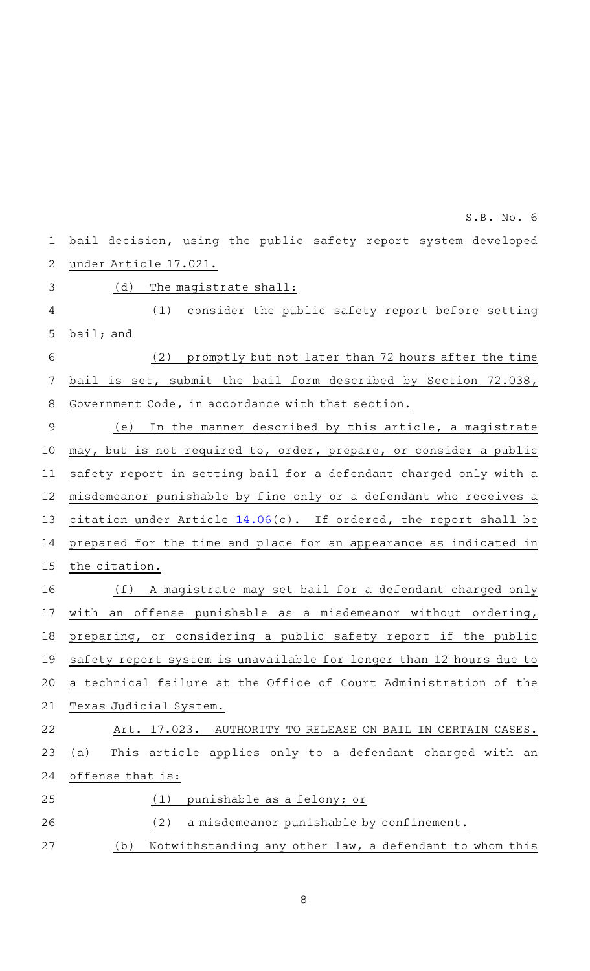| 1              | bail decision, using the public safety report system developed      |
|----------------|---------------------------------------------------------------------|
| $\mathbf{2}$   | under Article 17.021.                                               |
| 3              | (d)<br>The magistrate shall:                                        |
| 4              | (1) consider the public safety report before setting                |
| 5              | bail; and                                                           |
| 6              | (2)<br>promptly but not later than 72 hours after the time          |
| 7              | bail is set, submit the bail form described by Section 72.038,      |
| 8              | Government Code, in accordance with that section.                   |
| $\overline{9}$ | In the manner described by this article, a magistrate<br>(e)        |
| 10             | may, but is not required to, order, prepare, or consider a public   |
| 11             | safety report in setting bail for a defendant charged only with a   |
| 12             | misdemeanor punishable by fine only or a defendant who receives a   |
| 13             | citation under Article 14.06(c). If ordered, the report shall be    |
| 14             | prepared for the time and place for an appearance as indicated in   |
| 15             | the citation.                                                       |
| 16             | (f) A magistrate may set bail for a defendant charged only          |
| 17             | with an offense punishable as a misdemeanor without ordering,       |
| 18             | preparing, or considering a public safety report if the public      |
| 19             | safety report system is unavailable for longer than 12 hours due to |
| 20             | a technical failure at the Office of Court Administration of the    |
| 21             | Texas Judicial System.                                              |
| 22             | Art. 17.023.<br>AUTHORITY TO RELEASE ON BAIL IN CERTAIN CASES.      |
| 23             | This article applies only to a defendant charged with an<br>(a)     |
| 24             | offense that is:                                                    |
| 25             | punishable as a felony; or<br>(1)                                   |
| 26             | (2)<br>a misdemeanor punishable by confinement.                     |
| 27             | Notwithstanding any other law, a defendant to whom this<br>(b)      |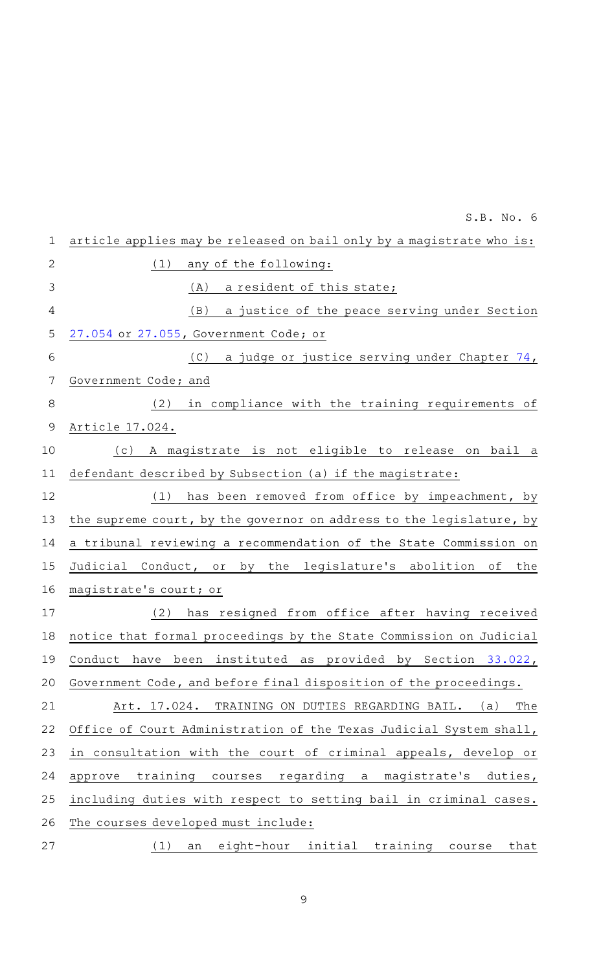|                | S.B. No. 6                                                           |
|----------------|----------------------------------------------------------------------|
| $\mathbf 1$    | article applies may be released on bail only by a magistrate who is: |
| $\overline{2}$ | (1)<br>any of the following:                                         |
| 3              | a resident of this state;<br>(A)                                     |
| 4              | a justice of the peace serving under Section<br>(B)                  |
| 5              | 27.054 or 27.055, Government Code; or                                |
| 6              | a judge or justice serving under Chapter 74,<br>(C)                  |
| 7              | Government Code; and                                                 |
| 8              | in compliance with the training requirements of<br>(2)               |
| 9              | Article 17.024.                                                      |
| 10             | A magistrate is not eligible to release on bail a<br>(c)             |
| 11             | defendant described by Subsection (a) if the magistrate:             |
| 12             | (1)<br>has been removed from office by impeachment, by               |
| 13             | the supreme court, by the governor on address to the legislature, by |
| 14             | a tribunal reviewing a recommendation of the State Commission on     |
| 15             | Judicial Conduct, or by the legislature's abolition of<br>the        |
| 16             | magistrate's court; or                                               |
| 17             | resigned from office after having received<br>(2)<br>has             |
| 18             | notice that formal proceedings by the State Commission on Judicial   |
| 19             | been instituted as provided by Section 33.022,<br>Conduct<br>have    |
| 20             | Government Code, and before final disposition of the proceedings.    |
| 21             | TRAINING ON DUTIES REGARDING BAIL.<br>The<br>Art. 17.024.<br>(a)     |
| 22             | Office of Court Administration of the Texas Judicial System shall,   |
| 23             | in consultation with the court of criminal appeals, develop or       |
| 24             | training courses regarding a magistrate's<br>duties,<br>approve      |
| 25             | including duties with respect to setting bail in criminal cases.     |
| 26             | The courses developed must include:                                  |
| 27             | an eight-hour initial training course<br>that<br>(1)                 |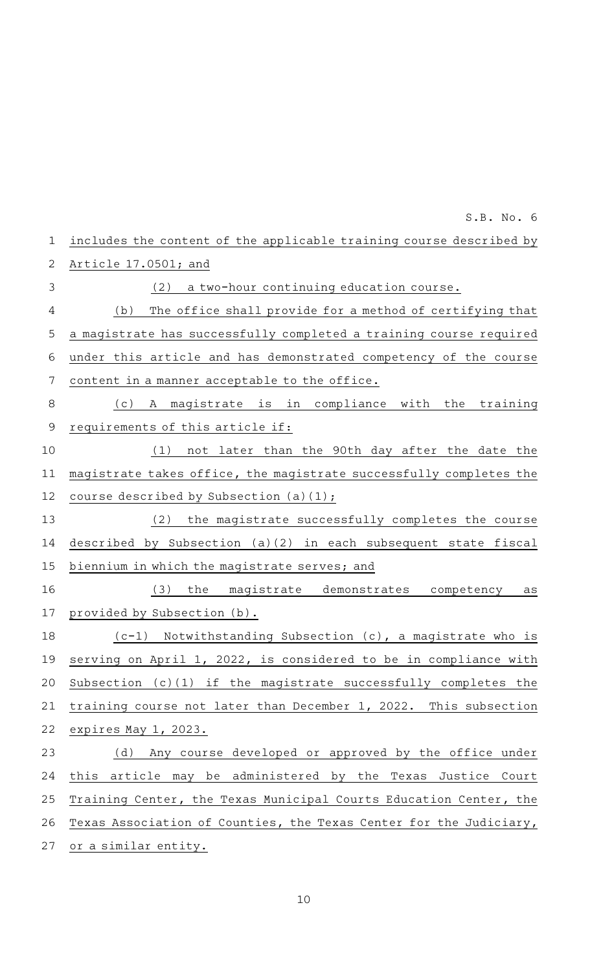| includes the content of the applicable training course described by |
|---------------------------------------------------------------------|
| Article 17.0501; and                                                |
| a two-hour continuing education course.<br>(2)                      |
| The office shall provide for a method of certifying that<br>(b)     |
| a magistrate has successfully completed a training course required  |
| under this article and has demonstrated competency of the course    |
| content in a manner acceptable to the office.                       |
| A magistrate is in compliance with the<br>training<br>(c)           |
| requirements of this article if:                                    |
| not later than the 90th day after the date the<br>(1)               |
| magistrate takes office, the magistrate successfully completes the  |
| course described by Subsection (a)(1);                              |
| the magistrate successfully completes the course<br>(2)             |
| described by Subsection (a)(2) in each subsequent state fiscal      |
| biennium in which the magistrate serves; and                        |
| the<br>magistrate demonstrates competency<br>(3)<br>as              |
| provided by Subsection (b).                                         |
| (c-1) Notwithstanding Subsection (c), a magistrate who is           |
| serving on April 1, 2022, is considered to be in compliance with    |
| Subsection (c)(1) if the magistrate successfully completes the      |
| training course not later than December 1, 2022. This subsection    |
| expires May 1, 2023.                                                |
| (d) Any course developed or approved by the office under            |
| this<br>article may be administered by the Texas Justice Court      |
| Training Center, the Texas Municipal Courts Education Center, the   |
| Texas Association of Counties, the Texas Center for the Judiciary,  |
| or a similar entity.                                                |
|                                                                     |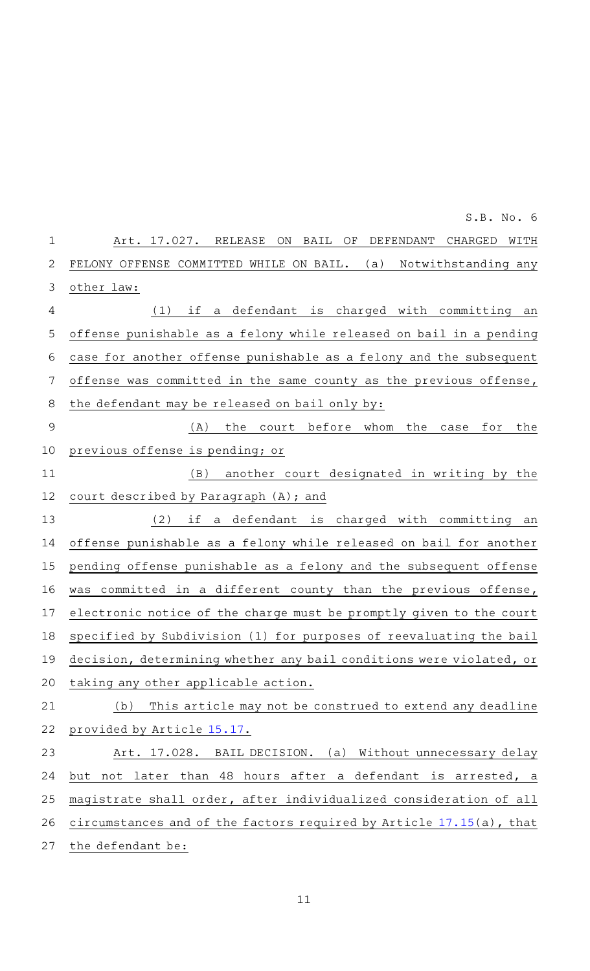|               | S.B. No. 6                                                                  |
|---------------|-----------------------------------------------------------------------------|
| $\mathbf 1$   | RELEASE<br>DEFENDANT<br>Art. 17.027.<br>ON<br>BAIL<br>ΟF<br>CHARGED<br>WITH |
| 2             | Notwithstanding any<br>FELONY OFFENSE COMMITTED WHILE ON BAIL.<br>(a)       |
| 3             | other law:                                                                  |
| 4             | if a defendant is charged with committing an<br>(1)                         |
| 5             | offense punishable as a felony while released on bail in a pending          |
| 6             | case for another offense punishable as a felony and the subsequent          |
| 7             | offense was committed in the same county as the previous offense,           |
| 8             | the defendant may be released on bail only by:                              |
| $\mathcal{G}$ | the<br>court before whom<br>the<br>the<br>(A)<br>case<br>for                |
| 10            | previous offense is pending; or                                             |
| 11            | (B)<br>another court designated in writing by the                           |
| 12            | court described by Paragraph (A); and                                       |
| 13            | (2)<br>if<br>a defendant is<br>charged with committing an                   |
| 14            | offense punishable as a felony while released on bail for another           |
| 15            | pending offense punishable as a felony and the subsequent offense           |
| 16            | committed in a different county than the previous offense,<br>was           |
| 17            | electronic notice of the charge must be promptly given to the court         |
| 18            | specified by Subdivision (1) for purposes of reevaluating the bail          |
| 19            | decision, determining whether any bail conditions were violated, or         |
| 20            | taking any other applicable action.                                         |
| 21            | This article may not be construed to extend any deadline<br>(b)             |
| 22            | provided by Article 15.17.                                                  |
| 23            | Art. 17.028. BAIL DECISION. (a) Without unnecessary delay                   |
| 24            | but not later than 48 hours after a defendant is arrested, a                |
| 25            | magistrate shall order, after individualized consideration of all           |
| 26            | circumstances and of the factors required by Article 17.15(a), that         |
| 27            | the defendant be:                                                           |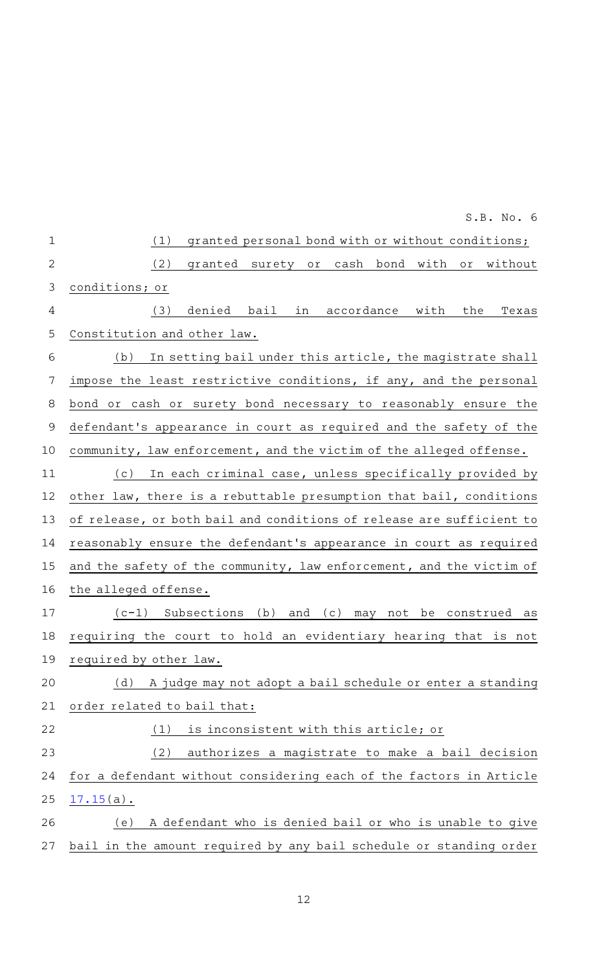|                | S.B. No. 6                                                                   |
|----------------|------------------------------------------------------------------------------|
| $\mathbf 1$    | (1)<br>granted personal bond with or without conditions;                     |
| $\mathbf{2}$   | (2)<br>granted surety or cash bond with or<br>without                        |
| $\mathfrak{Z}$ | conditions; or                                                               |
| 4              | (3)<br>denied<br>bail in accordance with<br>the<br>Texas                     |
| 5              | Constitution and other law.                                                  |
| 6              | In setting bail under this article, the magistrate shall<br>(b)              |
| 7              | impose the least restrictive conditions, if any, and the personal            |
| 8              | bond or cash or surety bond necessary to reasonably ensure the               |
| 9              | defendant's appearance in court as required and the safety of the            |
| 10             | community, law enforcement, and the victim of the alleged offense.           |
| 11             | In each criminal case, unless specifically provided by<br>( C )              |
| 12             | other law, there is a rebuttable presumption that bail, conditions           |
| 13             | of release, or both bail and conditions of release are sufficient to         |
| 14             | reasonably ensure the defendant's appearance in court as required            |
| 15             | and the safety of the community, law enforcement, and the victim of          |
| 16             | the alleged offense.                                                         |
| 17             | $(c-1)$ Subsections<br>(b)<br>and<br>(c)<br>be construed<br>may<br>not<br>as |
| 18             | requiring the court to hold an evidentiary hearing that is not               |
| 19             | required by other law.                                                       |
| 20             | A judge may not adopt a bail schedule or enter a standing<br>(d)             |
| 21             | order related to bail that:                                                  |
| 22             | is inconsistent with this article; or<br>(1)                                 |
| 23             | (2)<br>authorizes a magistrate to make a bail decision                       |
| 24             | for a defendant without considering each of the factors in Article           |
| 25             | $17.15(a)$ .                                                                 |
| 26             | A defendant who is denied bail or who is unable to give<br>(e)               |
| 27             | bail in the amount required by any bail schedule or standing order           |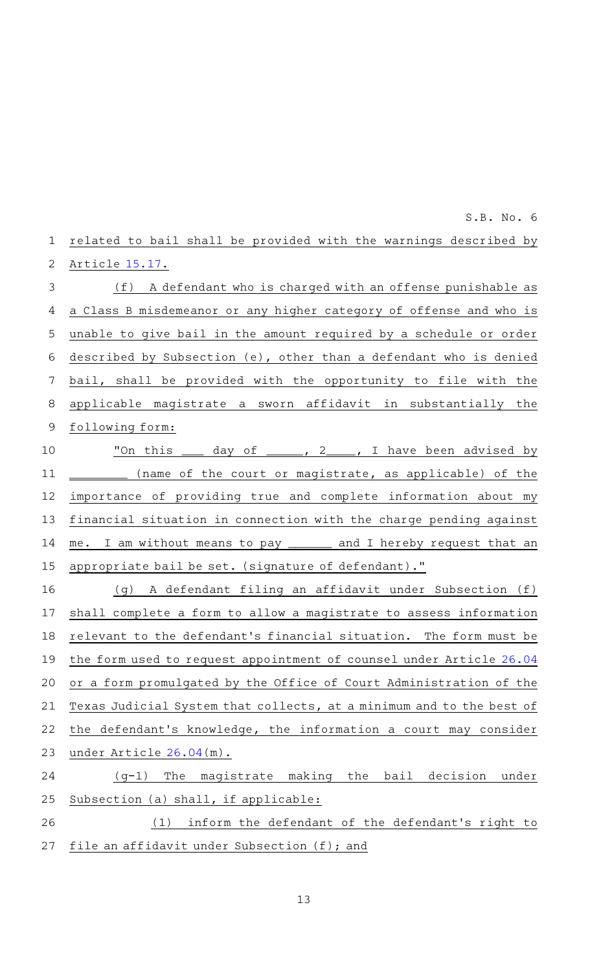|    | S.B. No. 6                                                           |
|----|----------------------------------------------------------------------|
| 1  | related to bail shall be provided with the warnings described by     |
| 2  | Article 15.17.                                                       |
| 3  | (f) A defendant who is charged with an offense punishable as         |
| 4  | a Class B misdemeanor or any higher category of offense and who is   |
| 5  | unable to give bail in the amount required by a schedule or order    |
| 6  | described by Subsection (e), other than a defendant who is denied    |
| 7  | bail, shall be provided with the opportunity to file with the        |
| 8  | applicable magistrate a sworn affidavit in substantially the         |
| 9  | following form:                                                      |
| 10 | "On this ____ day of _____, 2____, I have been advised by            |
| 11 | (name of the court or magistrate, as applicable) of the              |
| 12 | importance of providing true and complete information about my       |
| 13 | financial situation in connection with the charge pending against    |
| 14 | me. I am without means to pay ______ and I hereby request that an    |
| 15 | appropriate bail be set. (signature of defendant)."                  |
| 16 | (g) A defendant filing an affidavit under Subsection (f)             |
| 17 | shall complete a form to allow a magistrate to assess information    |
| 18 | relevant to the defendant's financial situation. The form must be    |
| 19 | the form used to request appointment of counsel under Article 26.04  |
| 20 | or a form promulgated by the Office of Court Administration of the   |
| 21 | Texas Judicial System that collects, at a minimum and to the best of |
| 22 | the defendant's knowledge, the information a court may consider      |
| 23 | under Article 26.04(m).                                              |
| 24 | making the bail decision<br>$(q-1)$<br>The<br>magistrate<br>under    |
| 25 | Subsection (a) shall, if applicable:                                 |
| 26 | inform the defendant of the defendant's right to<br>(1)              |
| 27 | file an affidavit under Subsection (f); and                          |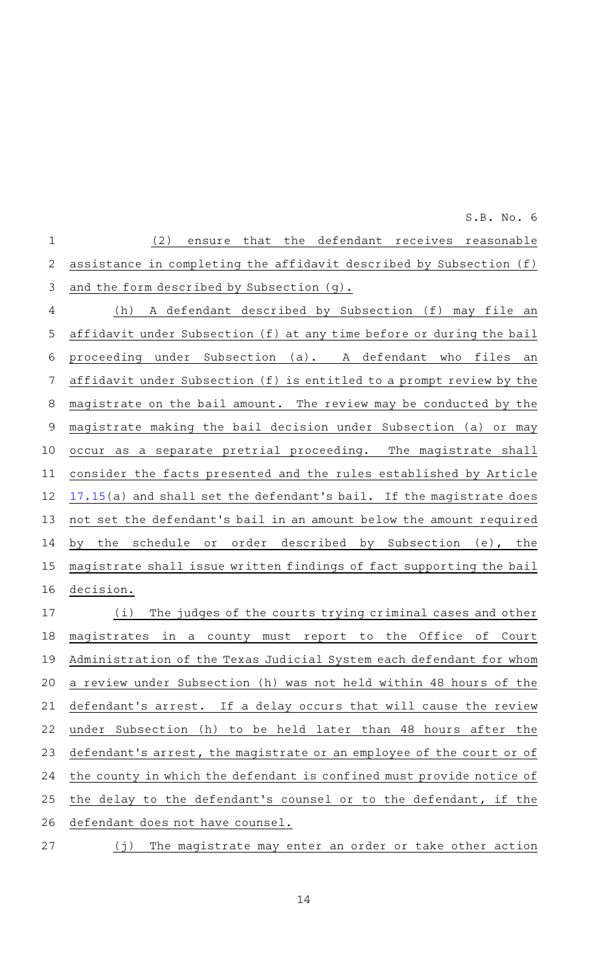| $\mathbf{1}$ | that the defendant receives reasonable<br>(2)<br>ensure                               |
|--------------|---------------------------------------------------------------------------------------|
| 2            | assistance in completing the affidavit described by Subsection (f)                    |
| 3            | and the form described by Subsection (g).                                             |
| 4            | A defendant described by Subsection (f) may file an<br>(h)                            |
| 5            | affidavit under Subsection (f) at any time before or during the bail                  |
| 6            | proceeding under Subsection (a). A defendant who files<br>an                          |
| 7            | affidavit under Subsection (f) is entitled to a prompt review by the                  |
| 8            | magistrate on the bail amount. The review may be conducted by the                     |
| $\mathsf 9$  | magistrate making the bail decision under Subsection (a) or may                       |
| 10           | occur as a separate pretrial proceeding. The magistrate shall                         |
| 11           | consider the facts presented and the rules established by Article                     |
| 12           | 17.15(a) and shall set the defendant's bail. If the magistrate does                   |
| 13           | not set the defendant's bail in an amount below the amount required                   |
| 14           | by the schedule or order described by Subsection (e), the                             |
| 15           | magistrate shall issue written findings of fact supporting the bail                   |
| 16           | decision.                                                                             |
| 17           | (i)<br>The judges of the courts trying criminal cases and other                       |
| 18           | magistrates<br>in<br>the<br>Office<br>оf<br>county<br>must<br>report to<br>Court<br>a |
| 19           | Administration of the Texas Judicial System each defendant for whom                   |
| 20           | a review under Subsection (h) was not held within 48 hours of the                     |
| 21           | defendant's arrest. If a delay occurs that will cause the review                      |
| 22           | under Subsection (h) to be held later than 48 hours after<br>the                      |
| 23           | defendant's arrest, the magistrate or an employee of the court or of                  |
| 24           | the county in which the defendant is confined must provide notice of                  |
| 25           | the delay to the defendant's counsel or to the defendant, if the                      |
| 26           | defendant does not have counsel.                                                      |
|              |                                                                                       |

(j) The magistrate may enter an order or take other action 27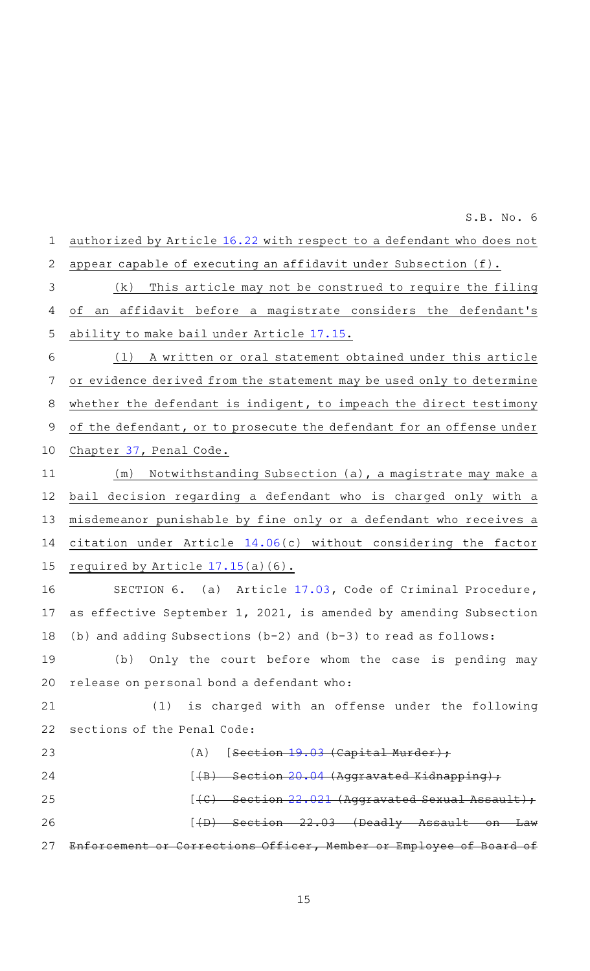authorized by Article [16.22](http://www.statutes.legis.state.tx.us/GetStatute.aspx?Code=CR&Value=16.22&Date=8/31/2021) with respect to a defendant who does not appear capable of executing an affidavit under Subsection (f).  $(k)$  This article may not be construed to require the filing of an affidavit before a magistrate considers the defendant 's ability to make bail under Article [17.15.](http://www.statutes.legis.state.tx.us/GetStatute.aspx?Code=CR&Value=17.15&Date=8/31/2021) (1) A written or oral statement obtained under this article or evidence derived from the statement may be used only to determine whether the defendant is indigent, to impeach the direct testimony of the defendant, or to prosecute the defendant for an offense under Chapter [37,](http://www.statutes.legis.state.tx.us/GetStatute.aspx?Code=PE&Value=37&Date=8/31/2021) Penal Code. (m) Notwithstanding Subsection (a), a magistrate may make a bail decision regarding a defendant who is charged only with a misdemeanor punishable by fine only or a defendant who receives a citation under Article [14.06](http://www.statutes.legis.state.tx.us/GetStatute.aspx?Code=CR&Value=14.06&Date=8/31/2021)(c) without considering the factor required by Article [17.15](http://www.statutes.legis.state.tx.us/GetStatute.aspx?Code=CR&Value=17.15&Date=8/31/2021)(a)(6). SECTION 6. (a) Article [17.03,](http://www.statutes.legis.state.tx.us/GetStatute.aspx?Code=CR&Value=17.03&Date=8/31/2021) Code of Criminal Procedure, as effective September 1, 2021, is amended by amending Subsection (b) and adding Subsections (b-2) and (b-3) to read as follows: (b) Only the court before whom the case is pending may release on personal bond a defendant who: (1) is charged with an offense under the following sections of the Penal Code: (A)  $[Section 19.03 (Capital Murder)$  $[Section 19.03 (Capital Murder)$  $[Section 19.03 (Capital Murder)$ ; [(B) Section [20.04](http://www.statutes.legis.state.tx.us/GetStatute.aspx?Code=PE&Value=20.04&Date=8/31/2021) (Aggravated Kidnapping);  $[$  (C) Section [22.021](http://www.statutes.legis.state.tx.us/GetStatute.aspx?Code=PE&Value=22.021&Date=8/31/2021) (Aggravated Sexual Assault);  $[$  (D) Section 22.03 (Deadly Assault Enforcement or Corrections Officer, Member or Employee of Board 1 2 3 4 5 6 7 8 9 10 11 12 13 14 15 16 17 18 19 20 21 22 23 24 25 26 27

 $S.B. No.6$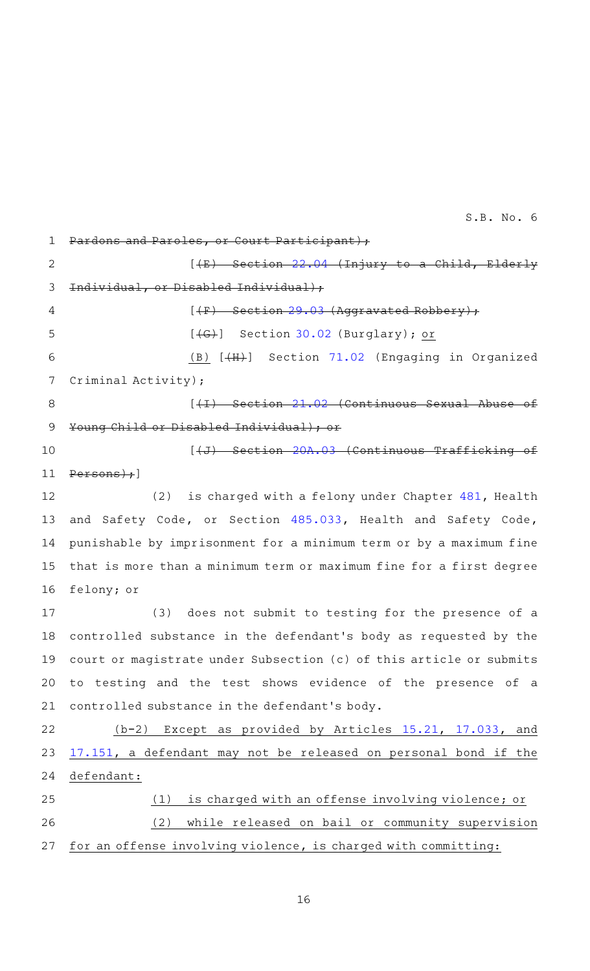and Paroles, or Court Participant); 1

 $[4E)$  Section [22.04](http://www.statutes.legis.state.tx.us/GetStatute.aspx?Code=PE&Value=22.04&Date=8/31/2021) (Injury to a Child, Elderly Individual, or Disabled Individual);  $[$  (F) Section [29.03](http://www.statutes.legis.state.tx.us/GetStatute.aspx?Code=PE&Value=29.03&Date=8/31/2021) (Aggravated Robbery);  $[\overline{+G}$  Section [30.02](http://www.statutes.legis.state.tx.us/GetStatute.aspx?Code=PE&Value=30.02&Date=8/31/2021) (Burglary); or 2 3 4 5

(B)  $[\frac{4H}{3}]$  Section [71.02](http://www.statutes.legis.state.tx.us/GetStatute.aspx?Code=PE&Value=71.02&Date=8/31/2021) (Engaging in Organized Criminal Activity); 6 7

8

[(I)AASection [21.02](http://www.statutes.legis.state.tx.us/GetStatute.aspx?Code=PE&Value=21.02&Date=8/31/2021) (Continuous Sexual Abuse of Young Child or Disabled Individual); or 9

10

# $[\overline{J} + J + J + J]$  Section [20A.03](http://www.statutes.legis.state.tx.us/GetStatute.aspx?Code=PE&Value=20A.03&Date=8/31/2021) (Continuous Traffick

Persons) ; ] 11

(2) is charged with a felony under Chapter  $481$ , Health and Safety Code, or Section [485.033,](http://www.statutes.legis.state.tx.us/GetStatute.aspx?Code=HS&Value=485.033&Date=8/31/2021) Health and Safety Code, punishable by imprisonment for a minimum term or by a maximum fine that is more than a minimum term or maximum fine for a first degree felony; or 12 13 14 15 16

(3) does not submit to testing for the presence of a controlled substance in the defendant 's body as requested by the court or magistrate under Subsection (c) of this article or submits to testing and the test shows evidence of the presence of a controlled substance in the defendant 's body. 17 18 19 20 21

(b-2) Except as provided by Articles [15.21,](http://www.statutes.legis.state.tx.us/GetStatute.aspx?Code=CR&Value=15.21&Date=8/31/2021) [17.033,](http://www.statutes.legis.state.tx.us/GetStatute.aspx?Code=CR&Value=17.033&Date=8/31/2021) and [17.151](http://www.statutes.legis.state.tx.us/GetStatute.aspx?Code=CR&Value=17.151&Date=8/31/2021), a defendant may not be released on personal bond if the defendant: (1) is charged with an offense involving violence; or 22 23 24 25

(2) while released on bail or community supervision for an offense involving violence, is charged with committing: 26 27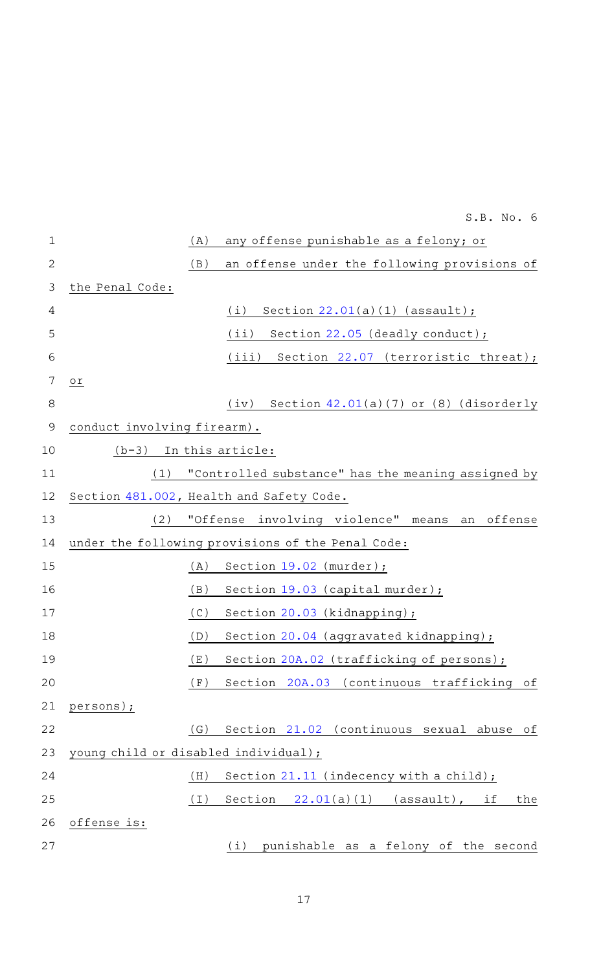|             | S.B. No. 6                                                |     |
|-------------|-----------------------------------------------------------|-----|
| $\mathbf 1$ | any offense punishable as a felony; or<br>(A)             |     |
| 2           | an offense under the following provisions of<br>(B)       |     |
| 3           | the Penal Code:                                           |     |
| 4           | Section $22.01(a)(1)$ (assault);<br>(i)                   |     |
| 5           | Section 22.05 (deadly conduct);<br>(iii)                  |     |
| 6           | Section 22.07 (terroristic threat);<br>(iii)              |     |
| 7           | оr                                                        |     |
| 8           | Section 42.01(a)(7) or (8) (disorderly<br>(iv)            |     |
| 9           | conduct involving firearm).                               |     |
| 10          | In this article:<br>$(b-3)$                               |     |
| 11          | "Controlled substance" has the meaning assigned by<br>(1) |     |
| 12          | Section 481.002, Health and Safety Code.                  |     |
| 13          | "Offense involving violence" means<br>an offense<br>(2)   |     |
| 14          | under the following provisions of the Penal Code:         |     |
| 15          | (A)<br>Section $19.02$ (murder);                          |     |
| 16          | (B)<br>Section 19.03 (capital murder);                    |     |
| 17          | (C)<br>Section 20.03 (kidnapping);                        |     |
| 18          | Section 20.04 (aggravated kidnapping);<br>(D)             |     |
| 19          | Section 20A.02 (trafficking of persons);<br>(E)           |     |
| 20          | Section 20A.03 (continuous trafficking<br>(F)             | of  |
| 21          | persons);                                                 |     |
| 22          | Section 21.02 (continuous sexual abuse<br>(G)             | of  |
| 23          | young child or disabled individual);                      |     |
| 24          | Section 21.11 (indecency with a child);<br>(H)            |     |
| 25          | (I)<br>Section $22.01(a)(1)$ (assault), if                | the |
| 26          | offense is:                                               |     |
| 27          | punishable as a felony of the second<br>(i)               |     |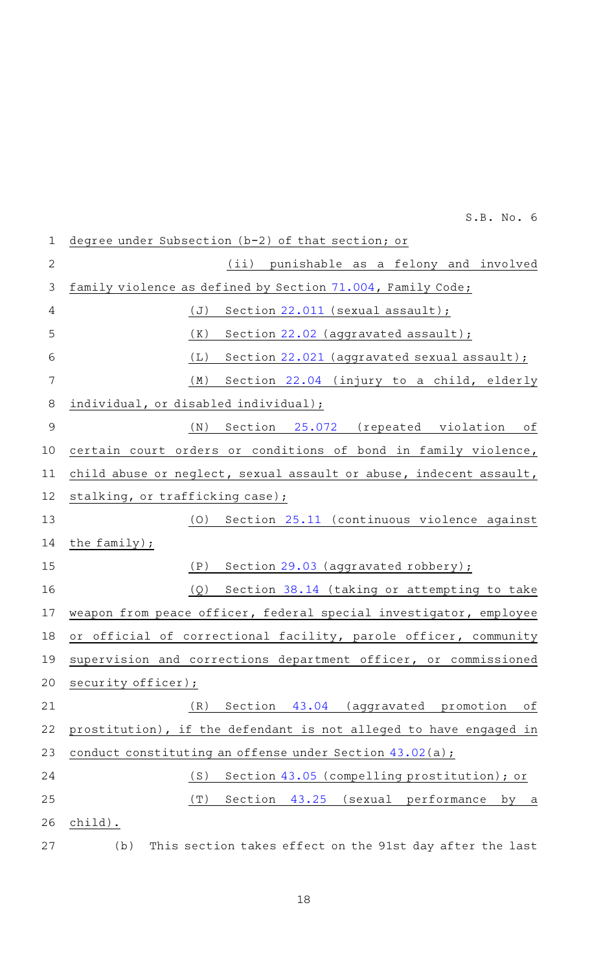degree under Subsection (b-2) of that section; or (ii) punishable as a felony and involved family violence as defined by Section [71.004](http://www.statutes.legis.state.tx.us/GetStatute.aspx?Code=FA&Value=71.004&Date=8/31/2021), Family Code; (J) Section  $22.011$  (sexual assault);  $(K)$  Section [22.02](http://www.statutes.legis.state.tx.us/GetStatute.aspx?Code=PE&Value=22.02&Date=8/31/2021) (aggravated assault); (L) Section  $22.021$  (aggravated sexual assault); (M) Section [22.04](http://www.statutes.legis.state.tx.us/GetStatute.aspx?Code=PE&Value=22.04&Date=8/31/2021) (injury to a child, elderly individual, or disabled individual); (N) Section [25.072](http://www.statutes.legis.state.tx.us/GetStatute.aspx?Code=PE&Value=25.072&Date=8/31/2021) (repeated violation of certain court orders or conditions of bond in family violence, child abuse or neglect, sexual assault or abuse, indecent assault, stalking, or trafficking case); (0) Section [25.11](http://www.statutes.legis.state.tx.us/GetStatute.aspx?Code=PE&Value=25.11&Date=8/31/2021) (continuous violence against the family); (P) Section  $29.03$  (aggravated robbery); (Q) Section [38.14](http://www.statutes.legis.state.tx.us/GetStatute.aspx?Code=PE&Value=38.14&Date=8/31/2021) (taking or attempting to take weapon from peace officer, federal special investigator, employee or official of correctional facility, parole officer, community supervision and corrections department officer, or commissioned security officer); (R) Section [43.04](http://www.statutes.legis.state.tx.us/GetStatute.aspx?Code=PE&Value=43.04&Date=8/31/2021) (aggravated promotion of prostitution), if the defendant is not alleged to have engaged in conduct constituting an offense under Section [43.02\(](http://www.statutes.legis.state.tx.us/GetStatute.aspx?Code=PE&Value=43.02&Date=8/31/2021)a); (S) Section  $43.05$  (compelling prostitution); or  $(T)$  Section [43.25](http://www.statutes.legis.state.tx.us/GetStatute.aspx?Code=PE&Value=43.25&Date=8/31/2021) (sexual performance by a child). (b) This section takes effect on the 91st day after the last 1 2 3 4 5 6 7 8 9 10 11 12 13 14 15 16 17 18 19 20 21 22 23 24 25 26 27

 $S.B. No.6$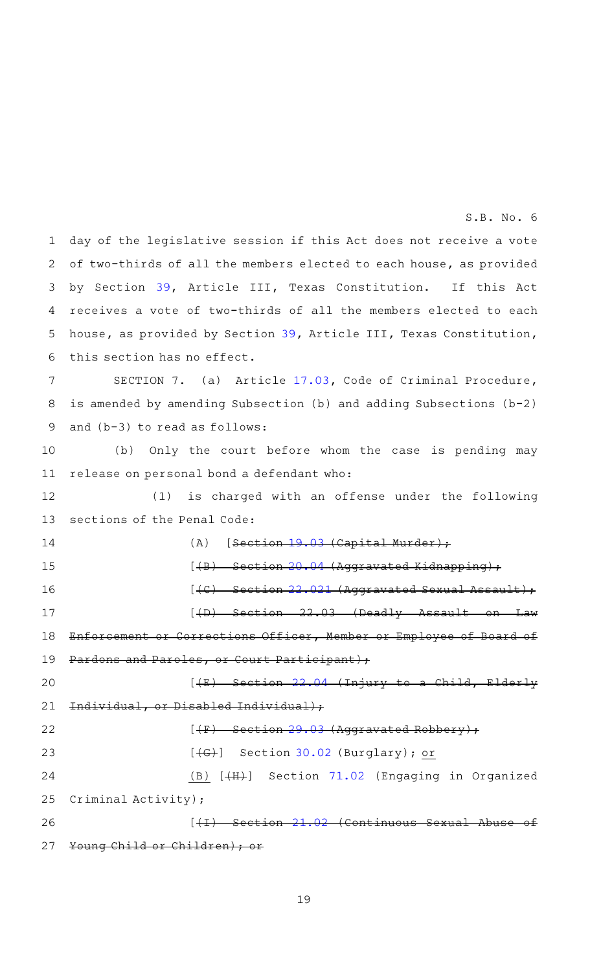day of the legislative session if this Act does not receive a vote of two-thirds of all the members elected to each house, as provided by Section [39,](http://www.statutes.legis.state.tx.us/GetStatute.aspx?Code=CN&Value=3.39&Date=8/31/2021) Article III, Texas Constitution. If this Act receives a vote of two-thirds of all the members elected to each house, as provided by Section [39,](http://www.statutes.legis.state.tx.us/GetStatute.aspx?Code=CN&Value=3.39&Date=8/31/2021) Article III, Texas Constitution, this section has no effect. 1 2 3 4 5 6

SECTION 7. (a) Article [17.03,](http://www.statutes.legis.state.tx.us/GetStatute.aspx?Code=CR&Value=17.03&Date=8/31/2021) Code of Criminal Procedure, is amended by amending Subsection (b) and adding Subsections (b-2) and (b-3) to read as follows: 7 8 9

(b) Only the court before whom the case is pending may release on personal bond a defendant who: 10 11

(1) is charged with an offense under the following sections of the Penal Code: 12 13

(A)  $[Section 19.03 (Capital Murder)$  $[Section 19.03 (Capital Murder)$  $[Section 19.03 (Capital Murder)$ ;  $[$  (B) Section [20.04](http://www.statutes.legis.state.tx.us/GetStatute.aspx?Code=PE&Value=20.04&Date=8/31/2021) (Aggravated Kidnapping);  $[$  (C) Section [22.021](http://www.statutes.legis.state.tx.us/GetStatute.aspx?Code=PE&Value=22.021&Date=8/31/2021) (Aggravated Sexual Assault);  $[4D]$  Section 22.03 (Deadly Assault on Enforcement or Corrections Officer, Member or Employee of Board of Pardons and Paroles, or Court Participant);  $[4E)$  Section [22.04](http://www.statutes.legis.state.tx.us/GetStatute.aspx?Code=PE&Value=22.04&Date=8/31/2021) (Injury to a Child, Elderly Individual, or Disabled Individual);  $(4F)$  Section [29.03](http://www.statutes.legis.state.tx.us/GetStatute.aspx?Code=PE&Value=29.03&Date=8/31/2021) (Aggravated Robbery) 14 15 16 17 18 19 20 21

| 22 | $[$ (F) Section 29.03 (Aggravated Robbery);     |
|----|-------------------------------------------------|
| 23 | $[\overline{+G+}]$ Section 30.02 (Burglary); or |
| 24 | (B) [(H)] Section 71.02 (Engaging in Organized  |
|    | 25 Criminal Activity);                          |
| 26 | Section 21.02 (Continuous Sexual Abuse of       |
| 27 | Young Child or Children) ; or                   |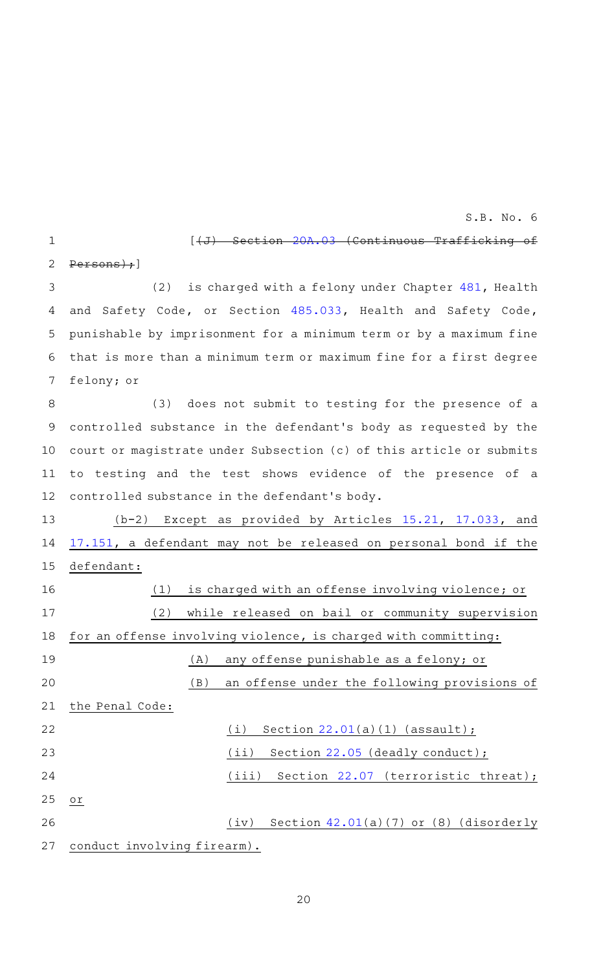$[\sqrt{J}+\sqrt{J}]$  Section 20 $\Lambda$ .03 (Continuous Trafficking of

Persons);] 2

1

(2) is charged with a felony under Chapter  $481$ , Health and Safety Code, or Section [485.033,](http://www.statutes.legis.state.tx.us/GetStatute.aspx?Code=HS&Value=485.033&Date=8/31/2021) Health and Safety Code, punishable by imprisonment for a minimum term or by a maximum fine that is more than a minimum term or maximum fine for a first degree felony; or 3 4 5 6 7

(3) does not submit to testing for the presence of a controlled substance in the defendant 's body as requested by the court or magistrate under Subsection (c) of this article or submits to testing and the test shows evidence of the presence of a controlled substance in the defendant 's body. 8 9 10 11 12

 $(b-2)$  Except as provided by Articles [15.21,](http://www.statutes.legis.state.tx.us/GetStatute.aspx?Code=CR&Value=15.21&Date=8/31/2021) [17.033,](http://www.statutes.legis.state.tx.us/GetStatute.aspx?Code=CR&Value=17.033&Date=8/31/2021) and [17.151](http://www.statutes.legis.state.tx.us/GetStatute.aspx?Code=CR&Value=17.151&Date=8/31/2021), a defendant may not be released on personal bond if the defendant: (1) is charged with an offense involving violence; or (2) while released on bail or community supervision for an offense involving violence, is charged with committing: (A) any offense punishable as a felony; or (B) an offense under the following provisions of the Penal Code:  $(i)$  Section [22.01](http://www.statutes.legis.state.tx.us/GetStatute.aspx?Code=PE&Value=22.01&Date=8/31/2021)(a)(1) (assault); (ii) Section [22.05](http://www.statutes.legis.state.tx.us/GetStatute.aspx?Code=PE&Value=22.05&Date=8/31/2021) (deadly conduct); (iii) Section  $22.07$  (terroristic threat); 13 14 15 16 17 18 19 20 21 22 23 24

or 25

> (iv) Section  $42.01(a)(7)$  $42.01(a)(7)$  or (8) (disorderly conduct involving firearm). 26 27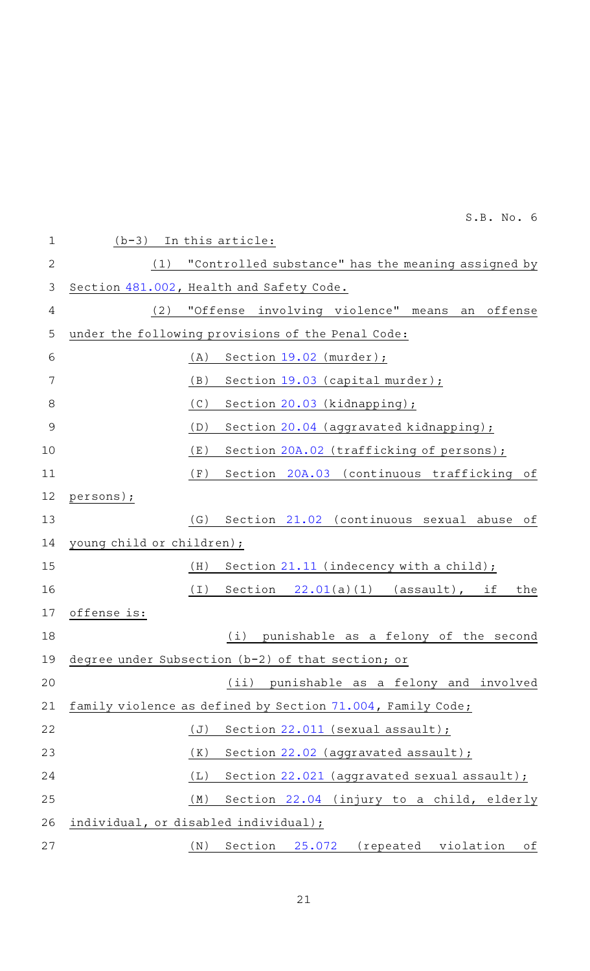| $\mathbf 1$    | $(b-3)$ In this article:                                   |
|----------------|------------------------------------------------------------|
| $\mathbf{2}$   | "Controlled substance" has the meaning assigned by<br>(1)  |
| 3              | Section 481.002, Health and Safety Code.                   |
| 4              | "Offense involving violence" means an offense<br>(2)       |
| 5              | under the following provisions of the Penal Code:          |
| 6              | (A)<br>Section $19.02$ (murder);                           |
| 7              | (B)<br>Section 19.03 (capital murder);                     |
| 8              | (C)<br>Section 20.03 (kidnapping);                         |
| $\overline{9}$ | (D)<br>Section 20.04 (aggravated kidnapping);              |
| 10             | (E)<br>Section 20A.02 (trafficking of persons);            |
| 11             | Section 20A.03 (continuous trafficking of<br>(F)           |
| 12             | persons);                                                  |
| 13             | (G)<br>Section 21.02 (continuous sexual abuse of           |
| 14             | young child or children);                                  |
| 15             | (H)<br>Section $21.11$ (indecency with a child);           |
| 16             | (I)<br>Section<br>$22.01(a)(1)$ (assault), if<br>the       |
| 17             | offense is:                                                |
| 18             | (i)<br>punishable as a felony of the second                |
| 19             | degree under Subsection (b-2) of that section; or          |
| 20             | (iii)<br>punishable as a felony and involved               |
| 21             | family violence as defined by Section 71.004, Family Code; |
| 22             | (J)<br>Section $22.011$ (sexual assault);                  |
| 23             | Section 22.02 (aggravated assault);<br>(K)                 |
| 24             | Section 22.021 (aggravated sexual assault);<br>(L)         |
| 25             | Section 22.04 (injury to a child, elderly<br>(M)           |
| 26             | individual, or disabled individual);                       |
| 27             | Section<br>25.072 (repeated violation<br>(N)<br>оf         |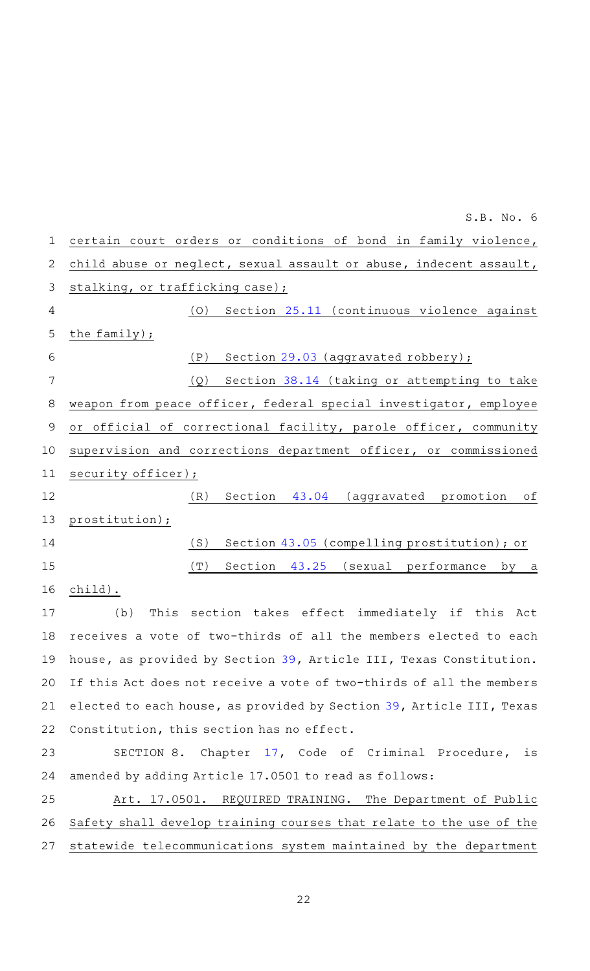| 1              | certain court orders or conditions of bond in family violence,        |
|----------------|-----------------------------------------------------------------------|
| 2              | child abuse or neglect, sexual assault or abuse, indecent assault,    |
| 3              | stalking, or trafficking case);                                       |
| 4              | (O)<br>Section 25.11 (continuous violence against                     |
| 5              | the family);                                                          |
| 6              | (P)<br>Section 29.03 (aggravated robbery);                            |
| $\overline{7}$ | Section 38.14 (taking or attempting to take<br>(Q)                    |
| 8              | weapon from peace officer, federal special investigator, employee     |
| $\mathsf 9$    | or official of correctional facility, parole officer, community       |
| 10             | supervision and corrections department officer, or commissioned       |
| 11             | security officer);                                                    |
| 12             | (R)<br>Section 43.04 (aggravated promotion of                         |
| 13             | prostitution);                                                        |
| 14             | (S)<br>Section 43.05 (compelling prostitution); or                    |
| 15             | (T)<br>Section 43.25 (sexual performance by a                         |
| 16             | child).                                                               |
| 17             | This section takes effect immediately if this Act<br>(b)              |
| 18             | receives a vote of two-thirds of all the members elected to each      |
|                | 19 house, as provided by Section 39, Article III, Texas Constitution. |
| 20             | If this Act does not receive a vote of two-thirds of all the members  |
| 21             | elected to each house, as provided by Section 39, Article III, Texas  |
| 22             | Constitution, this section has no effect.                             |
| 23             | SECTION 8. Chapter 17, Code of Criminal Procedure, is                 |
| 24             | amended by adding Article 17.0501 to read as follows:                 |
| 25             | Art. 17.0501.<br>REQUIRED TRAINING. The Department of Public          |
| 26             | Safety shall develop training courses that relate to the use of the   |
| 27             | statewide telecommunications system maintained by the department      |
|                |                                                                       |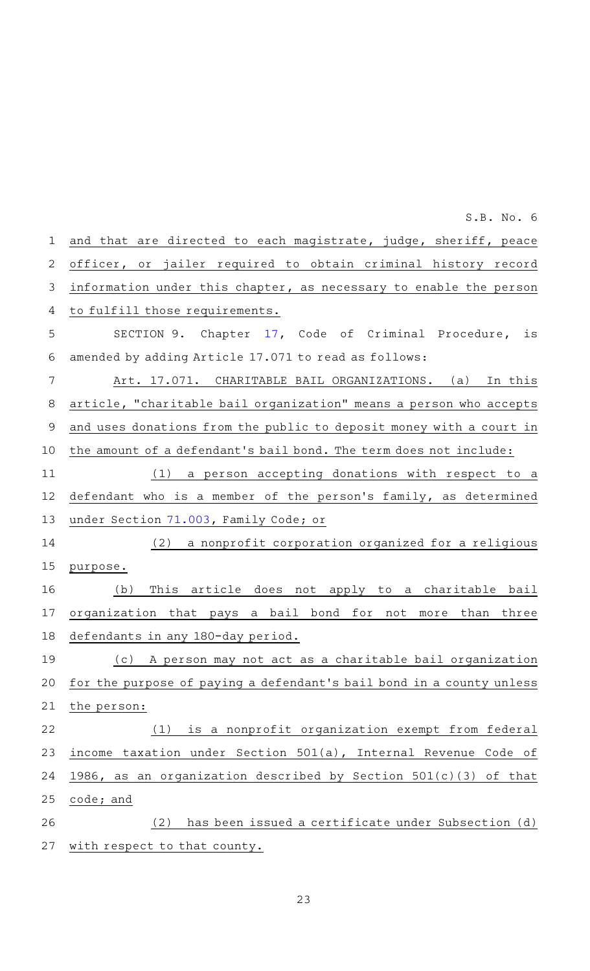and that are directed to each magistrate, judge, sheriff, peace officer, or jailer required to obtain criminal history record information under this chapter, as necessary to enable the person to fulfill those requirements. SECTION 9. Chapter [17,](http://www.statutes.legis.state.tx.us/GetStatute.aspx?Code=CR&Value=17&Date=8/31/2021) Code of Criminal Procedure, is amended by adding Article 17.071 to read as follows: Art. 17.071. CHARITABLE BAIL ORGANIZATIONS. (a) In this article, "charitable bail organization" means a person who accepts and uses donations from the public to deposit money with a court in the amount of a defendant 's bail bond. The term does not include:  $(1)$  a person accepting donations with respect to a defendant who is a member of the person's family, as determined under Section [71.003,](http://www.statutes.legis.state.tx.us/GetStatute.aspx?Code=FA&Value=71.003&Date=8/31/2021) Family Code; or (2) a nonprofit corporation organized for a religious purpose. (b) This article does not apply to a charitable bail organization that pays a bail bond for not more than three defendants in any 180-day period. (c) A person may not act as a charitable bail organization for the purpose of paying a defendant 's bail bond in a county unless the person:  $(1)$  is a nonprofit organization exempt from federal income taxation under Section 501(a), Internal Revenue Code of 1986, as an organization described by Section 501(c)(3) of that code; and (2) has been issued a certificate under Subsection (d) with respect to that county. 1 2 3 4 5 6 7 8 9 10 11 12 13 14 15 16 17 18 19 20 21 22 23 24 25 26 27

 $S.B. No.6$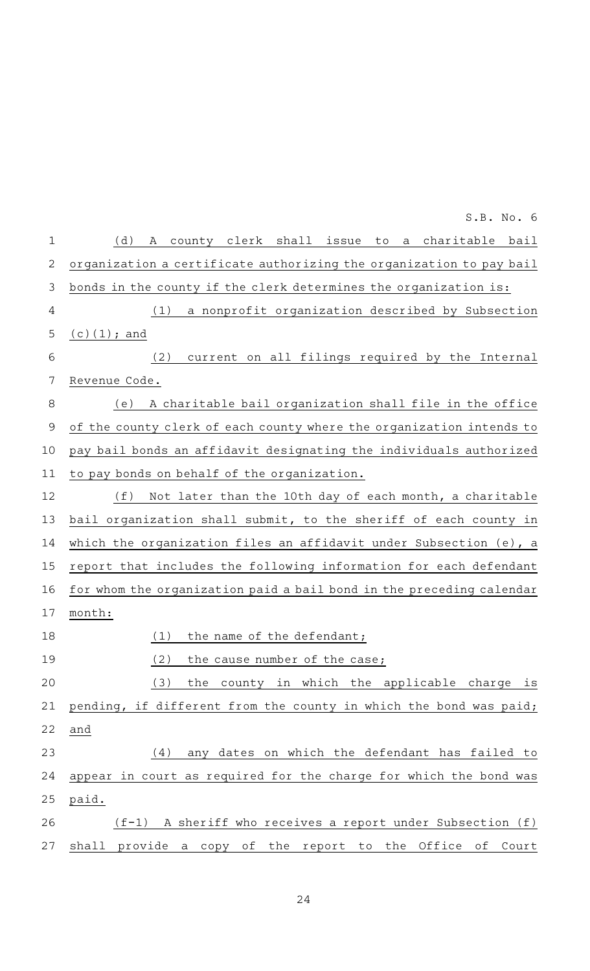| 1            | (d)<br>county clerk shall issue to a charitable bail<br>A            |
|--------------|----------------------------------------------------------------------|
| $\mathbf{2}$ | organization a certificate authorizing the organization to pay bail  |
| $\mathsf 3$  | bonds in the county if the clerk determines the organization is:     |
| 4            | a nonprofit organization described by Subsection<br>(1)              |
| 5            | $(c)(1);$ and                                                        |
| 6            | current on all filings required by the Internal<br>(2)               |
| 7            | Revenue Code.                                                        |
| $\,8\,$      | A charitable bail organization shall file in the office<br>(e)       |
| $\mathsf 9$  | of the county clerk of each county where the organization intends to |
| 10           | pay bail bonds an affidavit designating the individuals authorized   |
| 11           | to pay bonds on behalf of the organization.                          |
| 12           | (f)<br>Not later than the 10th day of each month, a charitable       |
| 13           | bail organization shall submit, to the sheriff of each county in     |
| 14           | which the organization files an affidavit under Subsection (e), a    |
| 15           | report that includes the following information for each defendant    |
| 16           | for whom the organization paid a bail bond in the preceding calendar |
| 17           | month:                                                               |
| 18           | (1)<br>the name of the defendant;                                    |
| 19           | (2)<br>the cause number of the case;                                 |
| 20           | the county in which the applicable charge is<br>(3)                  |
| 21           | pending, if different from the county in which the bond was paid;    |
| 22           | and                                                                  |
| 23           | (4)<br>any dates on which the defendant has failed to                |
| 24           | appear in court as required for the charge for which the bond was    |
| 25           | paid.                                                                |
| 26           | $(f-1)$ A sheriff who receives a report under Subsection (f)         |
|              |                                                                      |

24

27 shall provide a copy of the report to the Office of Court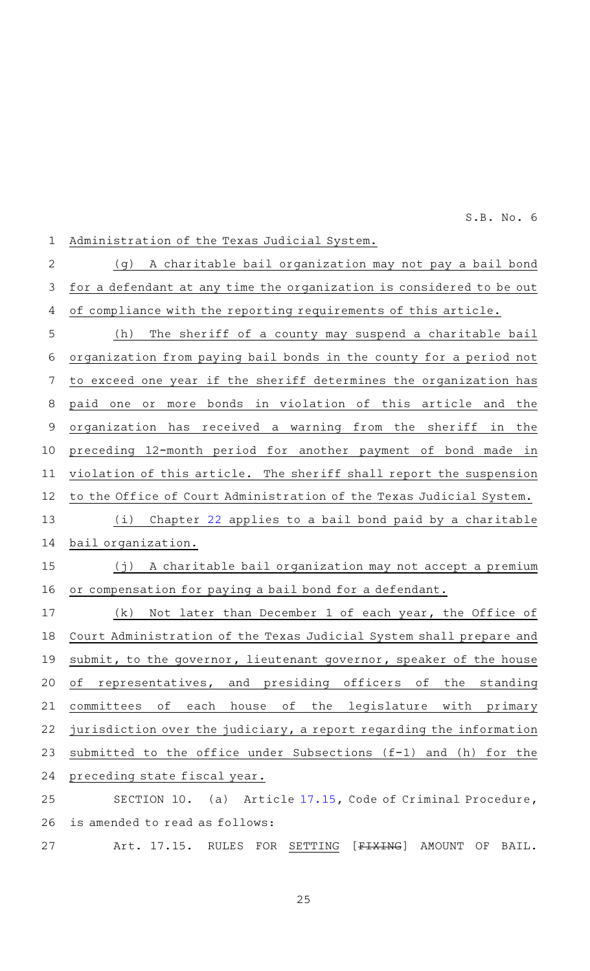Administration of the Texas Judicial System. (g) A charitable bail organization may not pay a bail bond for a defendant at any time the organization is considered to be out of compliance with the reporting requirements of this article. (h) The sheriff of a county may suspend a charitable bail organization from paying bail bonds in the county for a period not to exceed one year if the sheriff determines the organization has paid one or more bonds in violation of this article and the organization has received a warning from the sheriff in the preceding 12-month period for another payment of bond made in violation of this article. The sheriff shall report the suspension to the Office of Court Administration of the Texas Judicial System. (i) Chapter [22](http://www.statutes.legis.state.tx.us/GetStatute.aspx?Code=CR&Value=22&Date=8/31/2021) applies to a bail bond paid by a charitable bail organization.  $(j)$  A charitable bail organization may not accept a premium or compensation for paying a bail bond for a defendant.  $(k)$  Not later than December 1 of each year, the Office of Court Administration of the Texas Judicial System shall prepare and submit, to the governor, lieutenant governor, speaker of the house of representatives, and presiding officers of the standing committees of each house of the legislature with primary jurisdiction over the judiciary, a report regarding the information submitted to the office under Subsections (f-1) and (h) for the preceding state fiscal year. SECTION 10. (a) Article [17.15,](http://www.statutes.legis.state.tx.us/GetStatute.aspx?Code=CR&Value=17.15&Date=8/31/2021) Code of Criminal Procedure, is amended to read as follows: Art. 17.15. RULES FOR SETTING [FIXING] AMOUNT OF BAIL. 1 2 3 4 5 6 7 8 9 10 11 12 13 14 15 16 17 18 19 20 21 22 23 24 25 26 27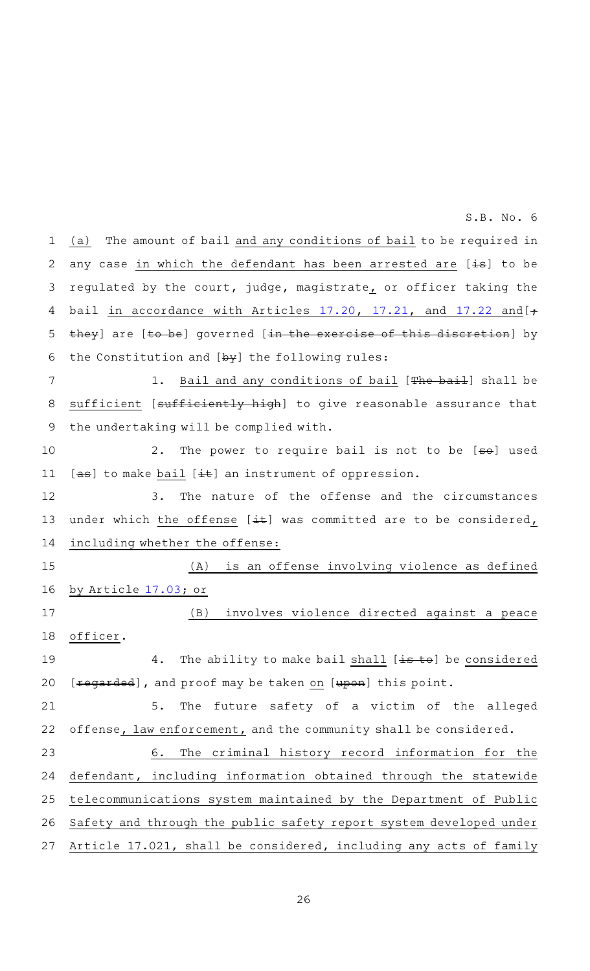(a) The amount of bail and any conditions of bail to be required in any case in which the defendant has been arrested are [is] to be regulated by the court, judge, magistrate, or officer taking the bail in accordance with Articles  $17.20$ ,  $17.21$ , and  $17.22$  and  $[+$ they] are [to be] governed [in the exercise of this discretion] by the Constitution and  $[\frac{b}{y}]$  the following rules: 1 2 3 4 5 6

1. Bail and any conditions of bail [The bail] shall be sufficient [sufficiently high] to give reasonable assurance that the undertaking will be complied with. 7 8 9

2. The power to require bail is not to be [so] used  $[a\theta]$  to make bail  $[\pm \theta]$  an instrument of oppression. 10 11

3. The nature of the offense and the circumstances under which the offense [ $\pm$ ) was committed are to be considered, including whether the offense: 12 13 14

(A) is an offense involving violence as defined by Article [17.03;](http://www.statutes.legis.state.tx.us/GetStatute.aspx?Code=CR&Value=17.03&Date=8/31/2021) or (B) involves violence directed against a peace officer. 4. The ability to make bail shall [is to] be considered [xegarded], and proof may be taken on [upon] this point. 5. The future safety of a victim of the alleged offense, law enforcement, and the community shall be considered. 15 16 17 18 19 20 21 22

6. The criminal history record information for the defendant, including information obtained through the statewide telecommunications system maintained by the Department of Public Safety and through the public safety report system developed under Article 17.021, shall be considered, including any acts of family 23 24 25 26 27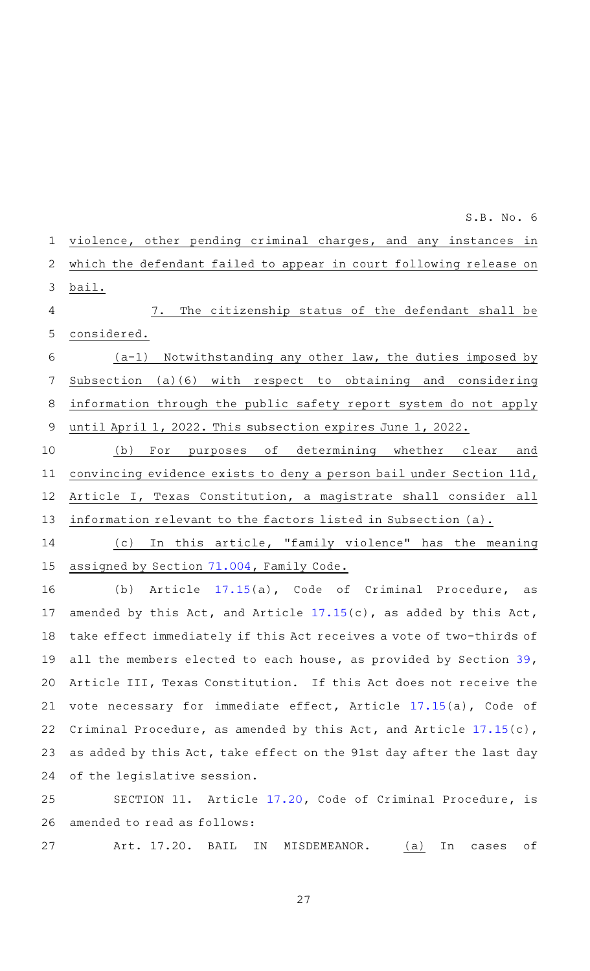violence, other pending criminal charges, and any instances in which the defendant failed to appear in court following release on bail. 7. The citizenship status of the defendant shall be considered.  $(a-1)$  Notwithstanding any other law, the duties imposed by Subsection (a)(6) with respect to obtaining and considering information through the public safety report system do not apply until April 1, 2022. This subsection expires June 1, 2022. (b) For purposes of determining whether clear and 1 2 3 4 5 6 7 8 9 10

convincing evidence exists to deny a person bail under Section 11d, Article I, Texas Constitution, a magistrate shall consider all information relevant to the factors listed in Subsection (a). 11 12 13

(c) In this article, "family violence" has the meaning assigned by Section [71.004,](http://www.statutes.legis.state.tx.us/GetStatute.aspx?Code=FA&Value=71.004&Date=8/31/2021) Family Code. 14 15

(b) Article [17.15](http://www.statutes.legis.state.tx.us/GetStatute.aspx?Code=CR&Value=17.15&Date=8/31/2021)(a), Code of Criminal Procedure, as amended by this Act, and Article [17.15](http://www.statutes.legis.state.tx.us/GetStatute.aspx?Code=CR&Value=17.15&Date=8/31/2021)(c), as added by this Act, take effect immediately if this Act receives a vote of two-thirds of all the members elected to each house, as provided by Section [39](http://www.statutes.legis.state.tx.us/GetStatute.aspx?Code=CN&Value=3.39&Date=8/31/2021), Article III, Texas Constitution. If this Act does not receive the vote necessary for immediate effect, Article [17.15\(](http://www.statutes.legis.state.tx.us/GetStatute.aspx?Code=CR&Value=17.15&Date=8/31/2021)a), Code of Criminal Procedure, as amended by this Act, and Article [17.15\(](http://www.statutes.legis.state.tx.us/GetStatute.aspx?Code=CR&Value=17.15&Date=8/31/2021)c), as added by this Act, take effect on the 91st day after the last day of the legislative session. 16 17 18 19 20 21 22 23 24

SECTION 11. Article [17.20](http://www.statutes.legis.state.tx.us/GetStatute.aspx?Code=CR&Value=17.20&Date=8/31/2021), Code of Criminal Procedure, is amended to read as follows: 25 26

Art. 17.20. BAIL IN MISDEMEANOR. (a) In cases of 27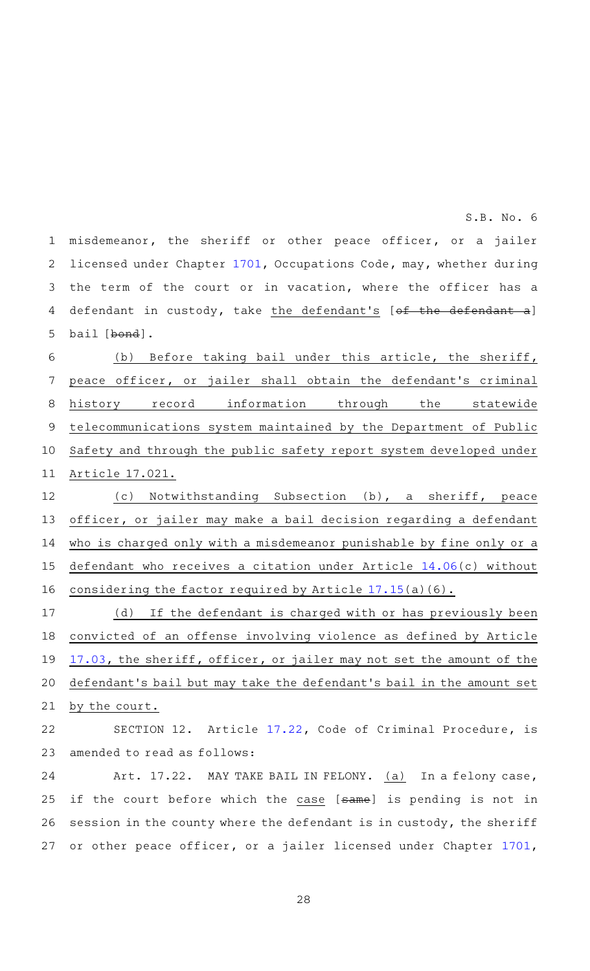misdemeanor, the sheriff or other peace officer, or a jailer licensed under Chapter [1701](http://www.statutes.legis.state.tx.us/GetStatute.aspx?Code=OC&Value=1701&Date=8/31/2021), Occupations Code, may, whether during the term of the court or in vacation, where the officer has a defendant in custody, take the defendant's [of the defendant bail [bond]. 1 2 3 4 5

(b) Before taking bail under this article, the sheriff, peace officer, or jailer shall obtain the defendant's criminal history record information through the statewide telecommunications system maintained by the Department of Public Safety and through the public safety report system developed under Article 17.021. 6 7 8 9 10 11

(c) Notwithstanding Subsection (b), a sheriff, peace officer, or jailer may make a bail decision regarding a defendant who is charged only with a misdemeanor punishable by fine only or a defendant who receives a citation under Article [14.06\(](http://www.statutes.legis.state.tx.us/GetStatute.aspx?Code=CR&Value=14.06&Date=8/31/2021)c) without considering the factor required by Article [17.15](http://www.statutes.legis.state.tx.us/GetStatute.aspx?Code=CR&Value=17.15&Date=8/31/2021)(a)(6). 12 13 14 15 16

 $(d)$  If the defendant is charged with or has previously been convicted of an offense involving violence as defined by Article [17.03,](http://www.statutes.legis.state.tx.us/GetStatute.aspx?Code=CR&Value=17.03&Date=8/31/2021) the sheriff, officer, or jailer may not set the amount of the defendant 's bail but may take the defendant 's bail in the amount set by the court. 17 18 19 20 21

SECTION 12. Article [17.22](http://www.statutes.legis.state.tx.us/GetStatute.aspx?Code=CR&Value=17.22&Date=8/31/2021), Code of Criminal Procedure, is amended to read as follows: 22 23

Art. 17.22. MAY TAKE BAIL IN FELONY. (a) In a felony case, if the court before which the case [same] is pending is not in session in the county where the defendant is in custody, the sheriff or other peace officer, or a jailer licensed under Chapter [1701](http://www.statutes.legis.state.tx.us/GetStatute.aspx?Code=OC&Value=1701&Date=8/31/2021), 24 25 26 27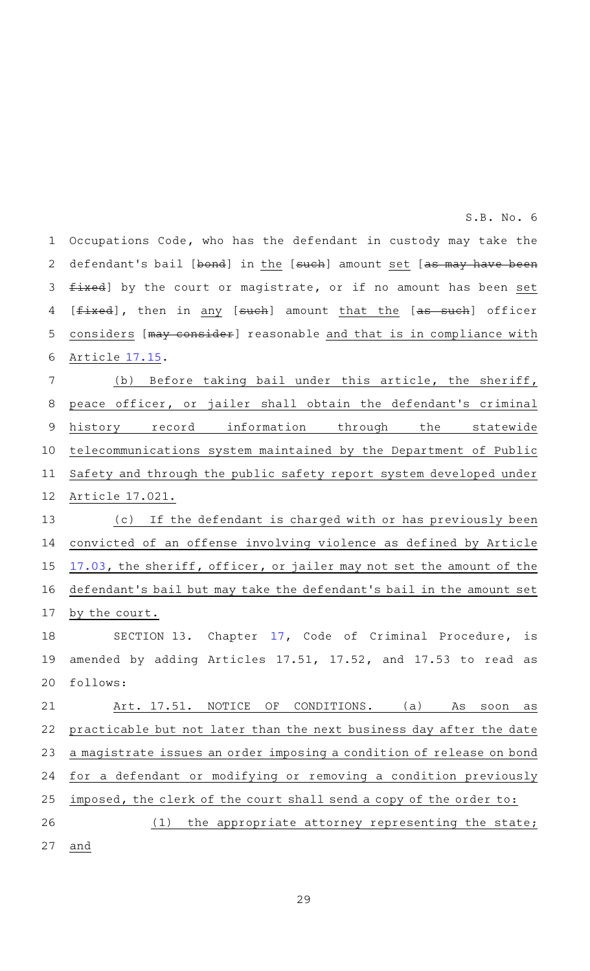Occupations Code, who has the defendant in custody may take the defendant's bail [bond] in the [such] amount set [as may have been fixed] by the court or magistrate, or if no amount has been set [fixed], then in any [such] amount that the [as such] officer considers [may consider] reasonable and that is in compliance with Article [17.15.](http://www.statutes.legis.state.tx.us/GetStatute.aspx?Code=CR&Value=17.15&Date=8/31/2021) 1 2 3 4 5 6

(b) Before taking bail under this article, the sheriff, peace officer, or jailer shall obtain the defendant 's criminal history record information through the statewide telecommunications system maintained by the Department of Public Safety and through the public safety report system developed under Article 17.021. 7 8 9 10 11 12

(c) If the defendant is charged with or has previously been convicted of an offense involving violence as defined by Article [17.03,](http://www.statutes.legis.state.tx.us/GetStatute.aspx?Code=CR&Value=17.03&Date=8/31/2021) the sheriff, officer, or jailer may not set the amount of the defendant 's bail but may take the defendant 's bail in the amount set by the court. 13 14 15 16 17

SECTION 13. Chapter [17](http://www.statutes.legis.state.tx.us/GetStatute.aspx?Code=CR&Value=17&Date=8/31/2021), Code of Criminal Procedure, is amended by adding Articles 17.51, 17.52, and 17.53 to read as follows: 18 19 20

Art. 17.51. NOTICE OF CONDITIONS. (a) As soon as practicable but not later than the next business day after the date a magistrate issues an order imposing a condition of release on bond for a defendant or modifying or removing a condition previously imposed, the clerk of the court shall send a copy of the order to: 21 22 23 24 25

 $(1)$  the appropriate attorney representing the state; and 26 27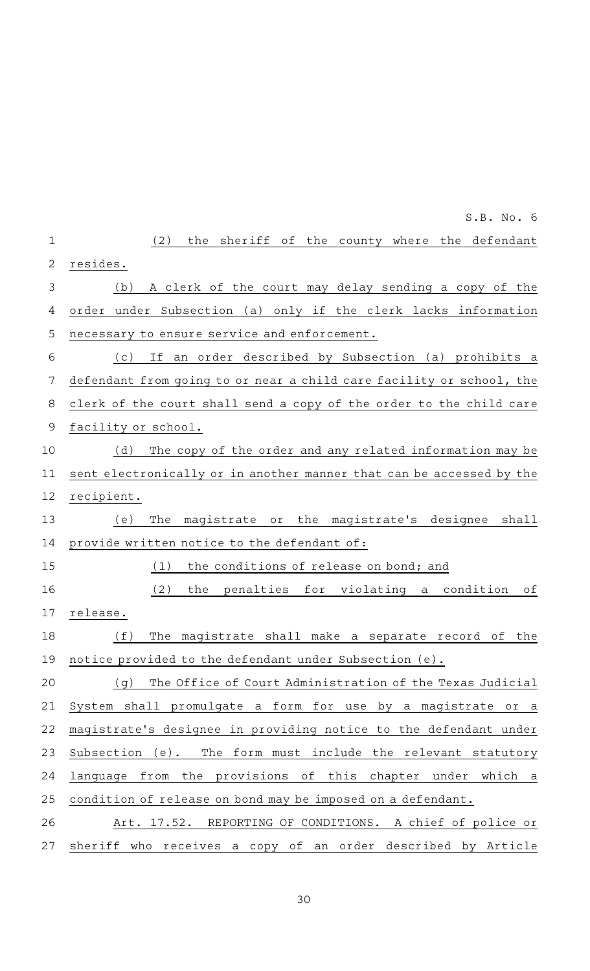|              | S.B. No. 6                                                                   |
|--------------|------------------------------------------------------------------------------|
| $\mathbf 1$  | (2)<br>the sheriff of the county where the defendant                         |
| $\mathbf{2}$ | resides.                                                                     |
| 3            | A clerk of the court may delay sending a copy of the<br>(b)                  |
| 4            | order under Subsection (a) only if the clerk lacks information               |
| 5            | necessary to ensure service and enforcement.                                 |
| 6            | an order described by Subsection (a) prohibits a<br>(c)<br>If                |
| 7            | defendant from going to or near a child care facility or school, the         |
| 8            | clerk of the court shall send a copy of the order to the child care          |
| 9            | facility or school.                                                          |
| 10           | The copy of the order and any related information may be<br>(d)              |
| 11           | sent electronically or in another manner that can be accessed by the         |
| 12           | recipient.                                                                   |
| 13           | magistrate or the magistrate's designee<br>shall<br>(e)<br>The               |
| 14           | provide written notice to the defendant of:                                  |
| 15           | the conditions of release on bond; and<br>(1)                                |
| 16           | (2)<br>penalties for violating a<br>condition<br>the<br>оf                   |
| 17           | release.                                                                     |
| 18           | (f)<br>The magistrate shall make a separate record of<br>the                 |
| 19           | notice provided to the defendant under Subsection (e).                       |
| 20           | The Office of Court Administration of the Texas Judicial<br>(q)              |
| 21           | System shall promulgate a form for use by a magistrate or a                  |
| 22           | magistrate's designee in providing notice to the defendant under             |
| 23           | Subsection (e).<br>The form must include the relevant statutory              |
| 24           | the provisions<br>of this<br>chapter under<br>language<br>from<br>which<br>a |
| 25           | condition of release on bond may be imposed on a defendant.                  |
| 26           | REPORTING OF CONDITIONS.<br>A chief of police or<br>Art. 17.52.              |
| 27           | sheriff who receives a copy of an order described by Article                 |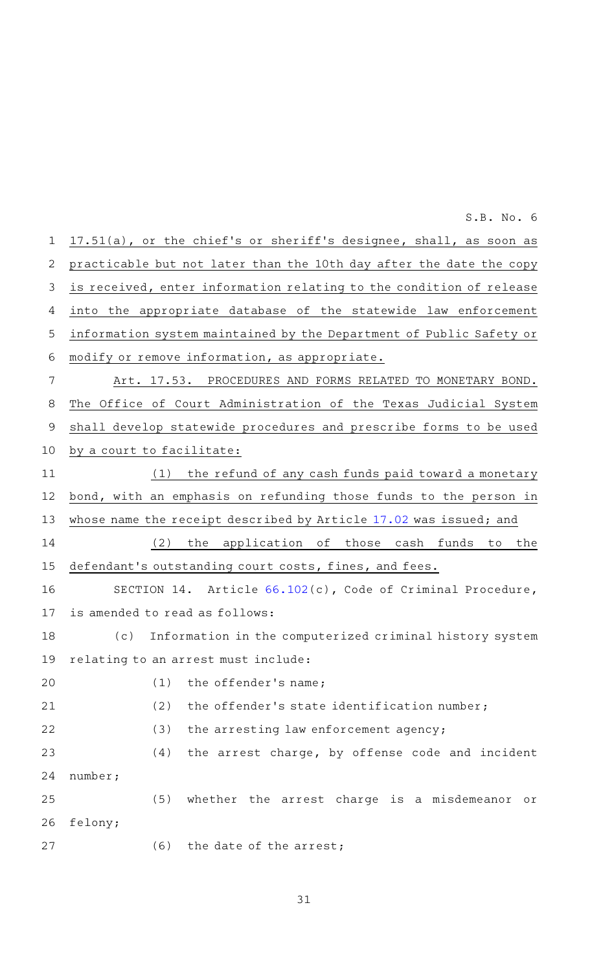17.51(a), or the chief 's or sheriff 's designee, shall, as soon as practicable but not later than the 10th day after the date the copy is received, enter information relating to the condition of release into the appropriate database of the statewide law enforcement information system maintained by the Department of Public Safety or modify or remove information, as appropriate. Art. 17.53. PROCEDURES AND FORMS RELATED TO MONETARY BOND. The Office of Court Administration of the Texas Judicial System shall develop statewide procedures and prescribe forms to be used by a court to facilitate:  $(1)$  the refund of any cash funds paid toward a monetary bond, with an emphasis on refunding those funds to the person in whose name the receipt described by Article [17.02](http://www.statutes.legis.state.tx.us/GetStatute.aspx?Code=CR&Value=17.02&Date=8/31/2021) was issued; and (2) the application of those cash funds to the defendant 's outstanding court costs, fines, and fees. SECTION 14. Article [66.102](http://www.statutes.legis.state.tx.us/GetStatute.aspx?Code=CR&Value=66.102&Date=8/31/2021)(c), Code of Criminal Procedure, is amended to read as follows: (c) Information in the computerized criminal history system relating to an arrest must include:  $(1)$  the offender's name; (2) the offender's state identification number; (3) the arresting law enforcement agency;  $(4)$  the arrest charge, by offense code and incident number; (5) whether the arrest charge is a misdemeanor or felony; (6) the date of the arrest; 1 2 3 4 5 6 7 8 9 10 11 12 13 14 15 16 17 18 19 20 21 22 23 24 25 26 27

S.B. No. 6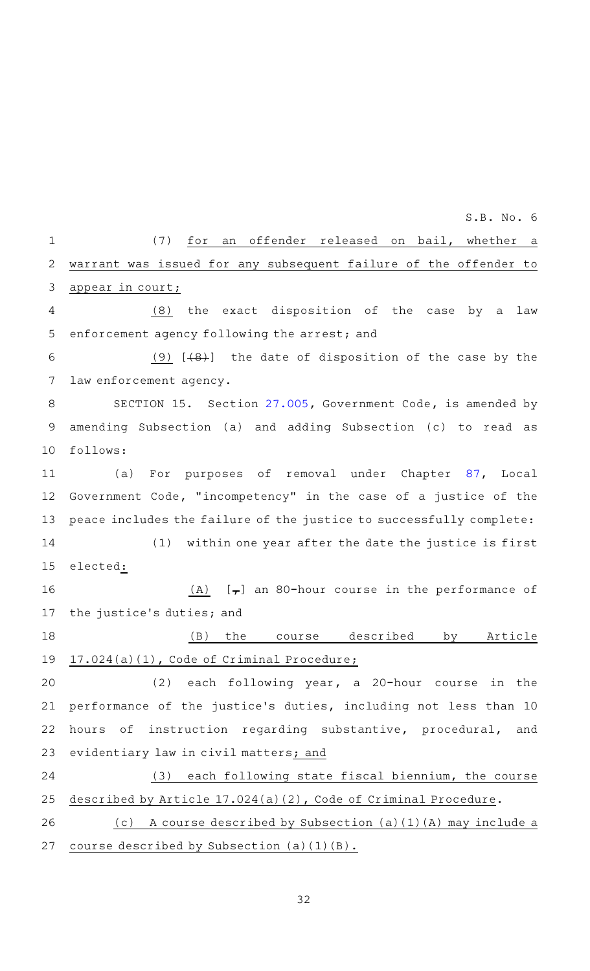(7) for an offender released on bail, whether a warrant was issued for any subsequent failure of the offender to appear in court;  $(8)$  the exact disposition of the case by a law enforcement agency following the arrest; and (9)  $[48]$  the date of disposition of the case by the law enforcement agency. SECTION 15. Section [27.005](http://www.statutes.legis.state.tx.us/GetStatute.aspx?Code=GV&Value=27.005&Date=8/31/2021), Government Code, is amended by amending Subsection (a) and adding Subsection (c) to read as follows: (a) For purposes of removal under Chapter [87](http://www.statutes.legis.state.tx.us/GetStatute.aspx?Code=LG&Value=87&Date=8/31/2021), Local Government Code, "incompetency" in the case of a justice of the peace includes the failure of the justice to successfully complete: (1) within one year after the date the justice is first elected: (A)  $[\tau]$  an 80-hour course in the performance of the justice 's duties; and (B) the course described by Article 17.024(a)(1), Code of Criminal Procedure;  $(2)$  each following year, a 20-hour course in the performance of the justice 's duties, including not less than 10 hours of instruction regarding substantive, procedural, and evidentiary law in civil matters; and (3) each following state fiscal biennium, the course described by Article 17.024(a)(2), Code of Criminal Procedure. (c) A course described by Subsection (a)(1)(A) may include a course described by Subsection (a)(1)(B). 1 2 3 4 5 6 7 8 9 10 11 12 13 14 15 16 17 18 19 20 21 22 23 24 25 26 27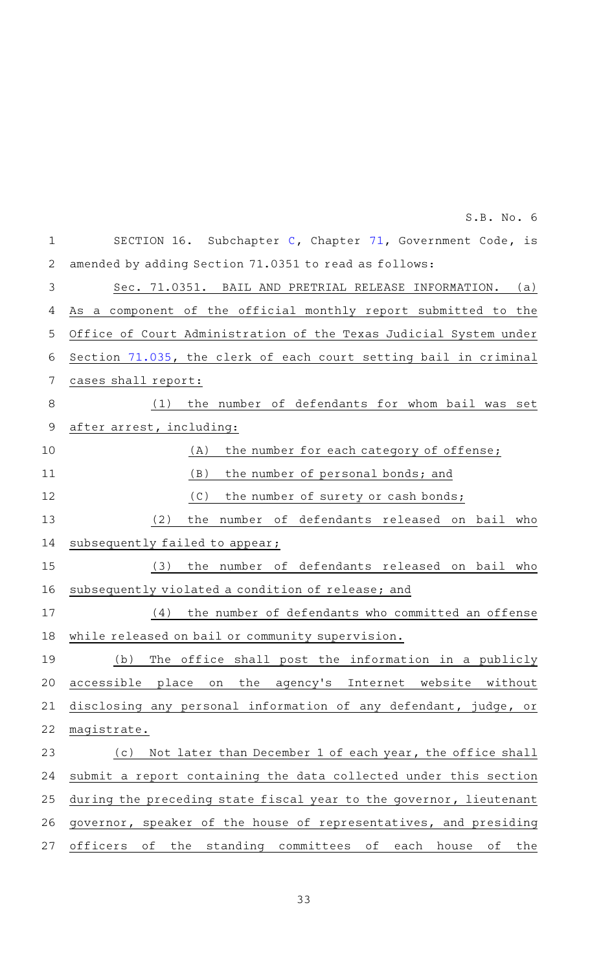| $\mathbf{1}$   | SECTION 16. Subchapter C, Chapter 71, Government Code, is                        |
|----------------|----------------------------------------------------------------------------------|
| $\overline{2}$ | amended by adding Section 71.0351 to read as follows:                            |
| 3              | Sec. 71.0351. BAIL AND PRETRIAL RELEASE INFORMATION.<br>(a)                      |
| 4              | As a component of the official monthly report submitted to the                   |
| 5              | Office of Court Administration of the Texas Judicial System under                |
| 6              | Section 71.035, the clerk of each court setting bail in criminal                 |
| 7              | cases shall report:                                                              |
| 8              | the number of defendants for whom bail was set<br>(1)                            |
| 9              | after arrest, including:                                                         |
| 10             | the number for each category of offense;<br>(A)                                  |
| 11             | (B)<br>the number of personal bonds; and                                         |
| 12             | (C)<br>the number of surety or cash bonds;                                       |
| 13             | the number of defendants released on bail who<br>(2)                             |
| 14             | subsequently failed to appear;                                                   |
| 15             | the number of defendants released on bail who<br>(3)                             |
| 16             | subsequently violated a condition of release; and                                |
| 17             | the number of defendants who committed an offense<br>(4)                         |
| 18             | while released on bail or community supervision.                                 |
| 19             | (b)<br>The office shall post the information in a publicly                       |
| 20             | agency's Internet website<br>accessible place<br>the<br>without<br>on            |
| 21             | disclosing any personal information of any defendant, judge, or                  |
| 22             | magistrate.                                                                      |
| 23             | Not later than December 1 of each year, the office shall<br>(c)                  |
| 24             | submit a report containing the data collected under this section                 |
| 25             | during the preceding state fiscal year to the governor, lieutenant               |
| 26             | governor, speaker of the house of representatives, and presiding                 |
| 27             | standing committees<br>officers<br>the<br>оf<br>оf<br>each<br>house<br>оf<br>the |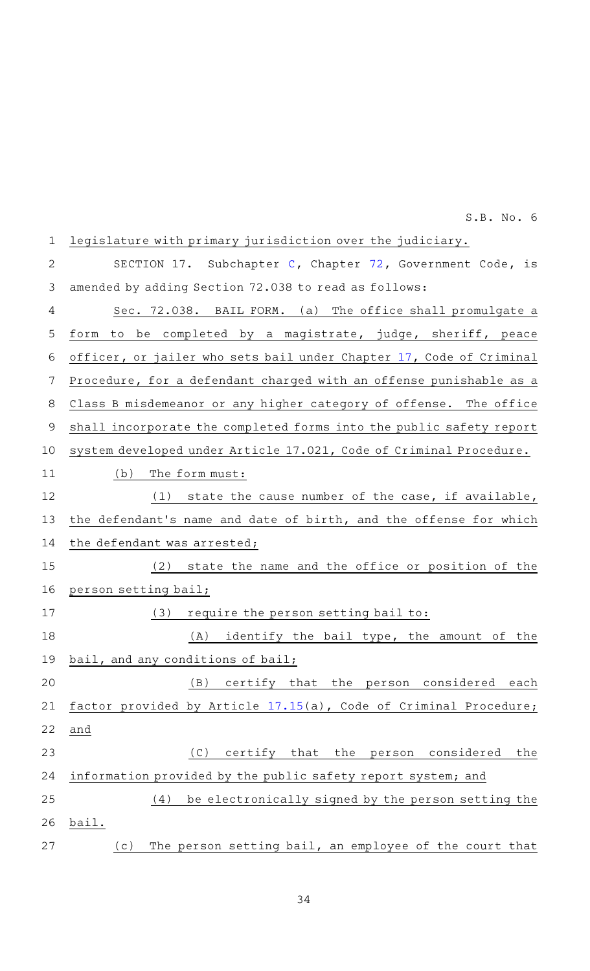| $\mathbf 1$ | legislature with primary jurisdiction over the judiciary.           |
|-------------|---------------------------------------------------------------------|
| 2           | SECTION 17. Subchapter C, Chapter 72, Government Code, is           |
| 3           | amended by adding Section 72.038 to read as follows:                |
| 4           | (a) The office shall promulgate a<br>Sec. 72.038. BAIL FORM.        |
| 5           | form to be completed by a magistrate, judge, sheriff, peace         |
| 6           | officer, or jailer who sets bail under Chapter 17, Code of Criminal |
| 7           | Procedure, for a defendant charged with an offense punishable as a  |
| 8           | Class B misdemeanor or any higher category of offense. The office   |
| 9           | shall incorporate the completed forms into the public safety report |
| 10          | system developed under Article 17.021, Code of Criminal Procedure.  |
| 11          | (b)<br>The form must:                                               |
| 12          | $(1)$ state the cause number of the case, if available,             |
| 13          | the defendant's name and date of birth, and the offense for which   |
| 14          | the defendant was arrested;                                         |
| 15          | state the name and the office or position of the<br>(2)             |
| 16          | person setting bail;                                                |
| 17          | require the person setting bail to:<br>(3)                          |
| 18          | identify the bail type, the amount of the<br>(A)                    |
|             | 19 bail, and any conditions of bail;                                |
| 20          | (B)<br>certify that the person considered each                      |
| 21          | factor provided by Article 17.15(a), Code of Criminal Procedure;    |
| 22          | and                                                                 |
| 23          | ( C )<br>certify that<br>the person considered<br>the               |
| 24          | information provided by the public safety report system; and        |
| 25          | be electronically signed by the person setting the<br>(4)           |
| 26          | bail.                                                               |
| 27          | The person setting bail, an employee of the court that<br>(c)       |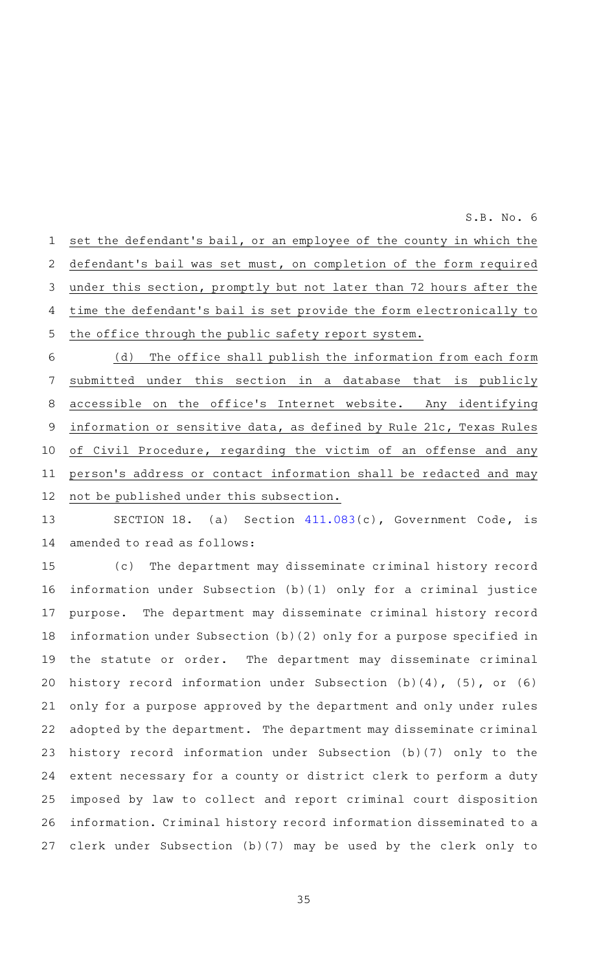set the defendant 's bail, or an employee of the county in which the defendant's bail was set must, on completion of the form required under this section, promptly but not later than 72 hours after the time the defendant 's bail is set provide the form electronically to the office through the public safety report system. (d) The office shall publish the information from each form 1 2 3 4 5 6

 $S.B. No.6$ 

submitted under this section in a database that is publicly accessible on the office 's Internet website. Any identifying information or sensitive data, as defined by Rule 21c, Texas Rules of Civil Procedure, regarding the victim of an offense and any person 's address or contact information shall be redacted and may not be published under this subsection. 7 8 9 10 11 12

SECTION 18. (a) Section  $411.083(c)$  $411.083(c)$ , Government Code, is amended to read as follows: 13 14

(c) The department may disseminate criminal history record information under Subsection (b)(1) only for a criminal justice purpose. The department may disseminate criminal history record information under Subsection (b)(2) only for a purpose specified in the statute or order. The department may disseminate criminal history record information under Subsection (b)(4), (5), or (6) only for a purpose approved by the department and only under rules adopted by the department. The department may disseminate criminal history record information under Subsection (b)(7) only to the extent necessary for a county or district clerk to perform a duty imposed by law to collect and report criminal court disposition information. Criminal history record information disseminated to a clerk under Subsection (b)(7) may be used by the clerk only to 15 16 17 18 19 20 21 22 23 24 25 26 27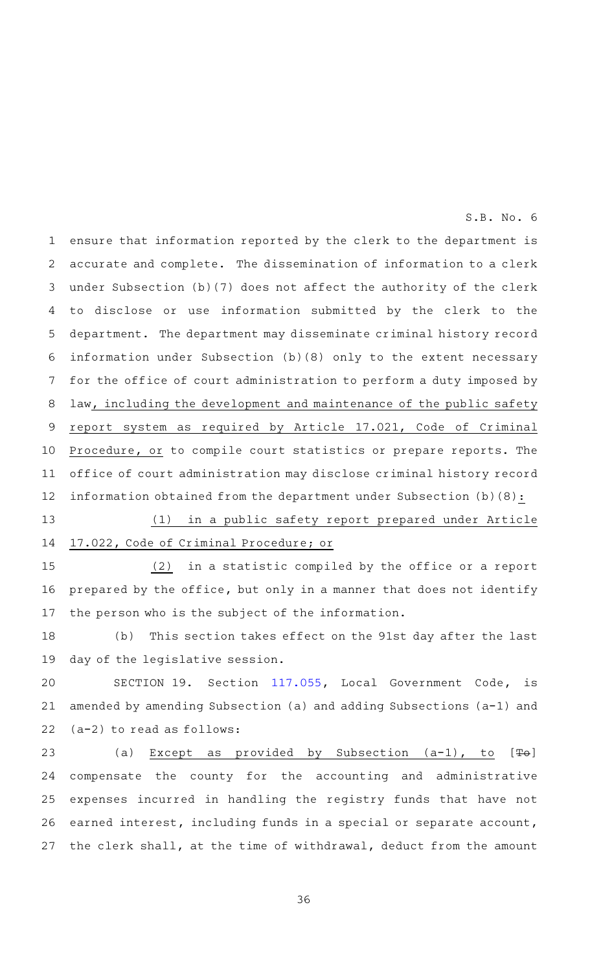ensure that information reported by the clerk to the department is accurate and complete. The dissemination of information to a clerk under Subsection (b)(7) does not affect the authority of the clerk to disclose or use information submitted by the clerk to the department. The department may disseminate criminal history record information under Subsection (b)(8) only to the extent necessary for the office of court administration to perform a duty imposed by law, including the development and maintenance of the public safety report system as required by Article 17.021, Code of Criminal Procedure, or to compile court statistics or prepare reports. The office of court administration may disclose criminal history record information obtained from the department under Subsection  $(b)(8):$ 1 2 3 4 5 6 7 8 9 10 11 12

(1) in a public safety report prepared under Article 17.022, Code of Criminal Procedure; or 13 14

 $(2)$  in a statistic compiled by the office or a report prepared by the office, but only in a manner that does not identify the person who is the subject of the information. 15 16 17

(b) This section takes effect on the 91st day after the last day of the legislative session. 18 19

SECTION 19. Section [117.055,](http://www.statutes.legis.state.tx.us/GetStatute.aspx?Code=LG&Value=117.055&Date=8/31/2021) Local Government Code, is amended by amending Subsection (a) and adding Subsections (a-1) and (a-2) to read as follows: 20 21 22

(a) Except as provided by Subsection  $(a-1)$ , to  $[Fe]$ compensate the county for the accounting and administrative expenses incurred in handling the registry funds that have not earned interest, including funds in a special or separate account, the clerk shall, at the time of withdrawal, deduct from the amount 23 24 25 26 27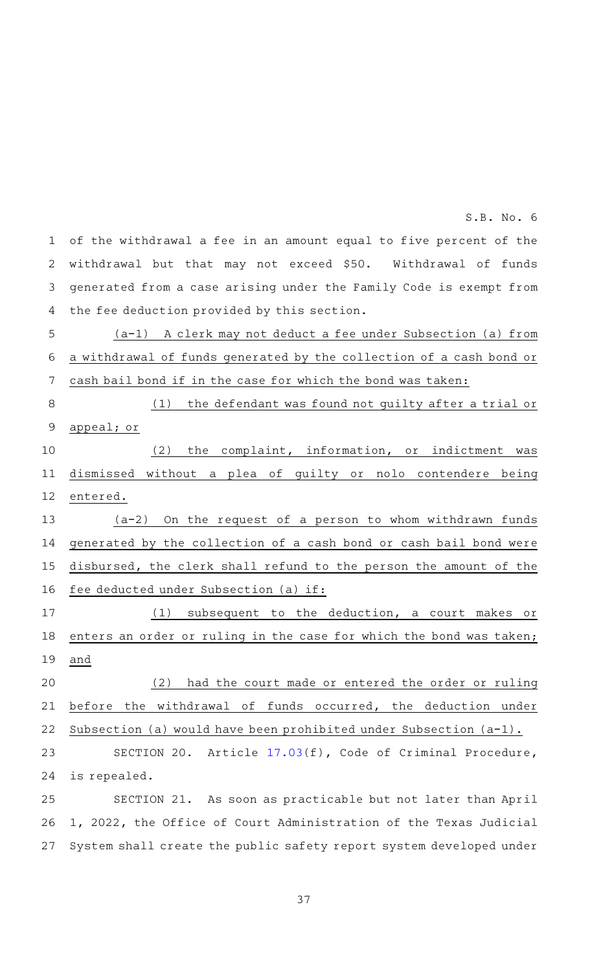of the withdrawal a fee in an amount equal to five percent of the withdrawal but that may not exceed \$50. Withdrawal of funds generated from a case arising under the Family Code is exempt from the fee deduction provided by this section. 1 2 3 4

 $S.B. No.6$ 

(a-1) A clerk may not deduct a fee under Subsection (a) from a withdrawal of funds generated by the collection of a cash bond or cash bail bond if in the case for which the bond was taken: 5 6 7

 $(1)$  the defendant was found not quilty after a trial or appeal; or 8 9 10

 $(2)$  the complaint, information, or indictment was dismissed without a plea of guilty or nolo contendere being entered. 11 12

 $(a-2)$  On the request of a person to whom withdrawn funds generated by the collection of a cash bond or cash bail bond were disbursed, the clerk shall refund to the person the amount of the fee deducted under Subsection (a) if: 13 14 15 16

 $(1)$  subsequent to the deduction, a court makes or enters an order or ruling in the case for which the bond was taken; and 17 18 19

(2) had the court made or entered the order or ruling before the withdrawal of funds occurred, the deduction under Subsection (a) would have been prohibited under Subsection (a-1). 20 21 22

SECTION 20. Article [17.03](http://www.statutes.legis.state.tx.us/GetStatute.aspx?Code=CR&Value=17.03&Date=8/31/2021)(f), Code of Criminal Procedure, is repealed. 23 24

SECTION 21. As soon as practicable but not later than April 1, 2022, the Office of Court Administration of the Texas Judicial System shall create the public safety report system developed under 25 26 27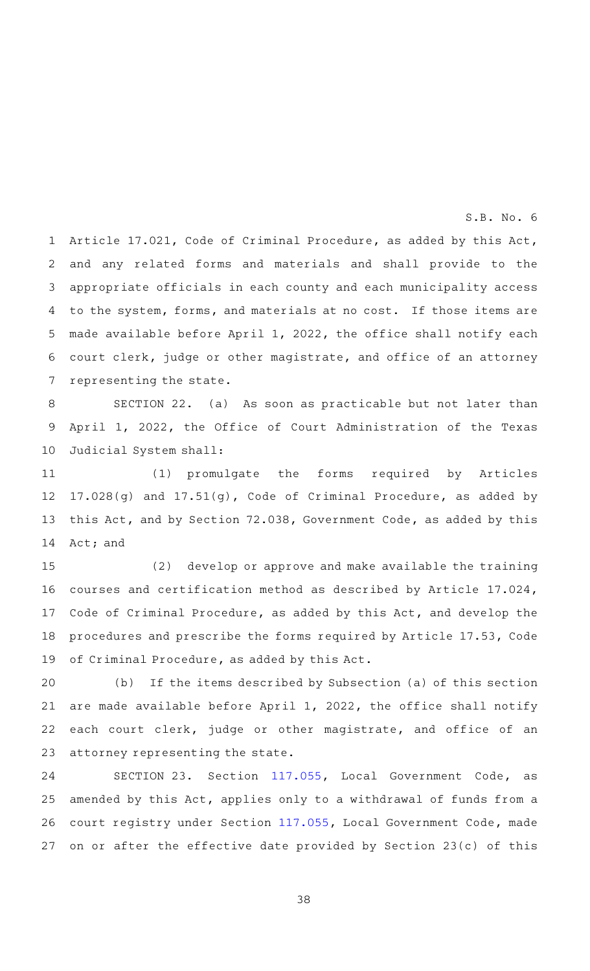Article 17.021, Code of Criminal Procedure, as added by this Act, and any related forms and materials and shall provide to the appropriate officials in each county and each municipality access to the system, forms, and materials at no cost. If those items are made available before April 1, 2022, the office shall notify each court clerk, judge or other magistrate, and office of an attorney representing the state. 1 2 3 4 5 6 7

SECTION 22. (a) As soon as practicable but not later than April 1, 2022, the Office of Court Administration of the Texas Judicial System shall: 8 9 10

(1) promulgate the forms required by Articles 17.028(g) and 17.51(g), Code of Criminal Procedure, as added by this Act, and by Section 72.038, Government Code, as added by this Act; and 11 12 13 14

 $(2)$  develop or approve and make available the training courses and certification method as described by Article 17.024, Code of Criminal Procedure, as added by this Act, and develop the procedures and prescribe the forms required by Article 17.53, Code of Criminal Procedure, as added by this Act. 15 16 17 18 19

(b) If the items described by Subsection (a) of this section are made available before April 1, 2022, the office shall notify each court clerk, judge or other magistrate, and office of an attorney representing the state. 20 21 22 23

SECTION 23. Section [117.055,](http://www.statutes.legis.state.tx.us/GetStatute.aspx?Code=LG&Value=117.055&Date=8/31/2021) Local Government Code, as amended by this Act, applies only to a withdrawal of funds from a court registry under Section [117.055](http://www.statutes.legis.state.tx.us/GetStatute.aspx?Code=LG&Value=117.055&Date=8/31/2021), Local Government Code, made on or after the effective date provided by Section 23(c) of this 24 25 26 27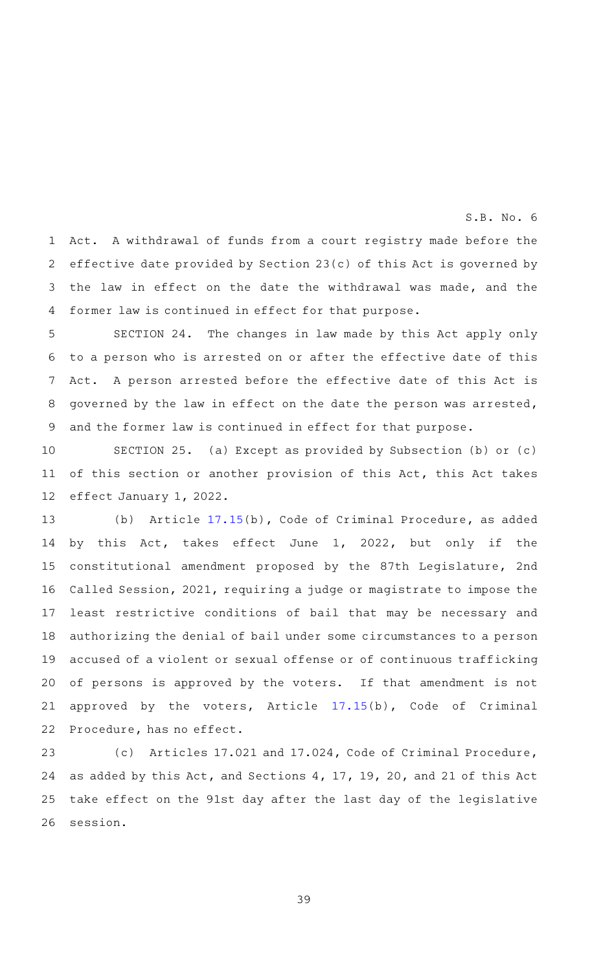Act. A withdrawal of funds from a court registry made before the effective date provided by Section 23(c) of this Act is governed by the law in effect on the date the withdrawal was made, and the former law is continued in effect for that purpose. 1 2 3 4

 $S.B. No.6$ 

SECTION 24. The changes in law made by this Act apply only to a person who is arrested on or after the effective date of this Act. A person arrested before the effective date of this Act is governed by the law in effect on the date the person was arrested, and the former law is continued in effect for that purpose. 5 6 7 8 9

SECTION 25. (a) Except as provided by Subsection (b) or (c) of this section or another provision of this Act, this Act takes effect January 1, 2022. 10 11 12

(b) Article [17.15\(](http://www.statutes.legis.state.tx.us/GetStatute.aspx?Code=CR&Value=17.15&Date=8/31/2021)b), Code of Criminal Procedure, as added by this Act, takes effect June 1, 2022, but only if the constitutional amendment proposed by the 87th Legislature, 2nd Called Session, 2021, requiring a judge or magistrate to impose the least restrictive conditions of bail that may be necessary and authorizing the denial of bail under some circumstances to a person accused of a violent or sexual offense or of continuous trafficking of persons is approved by the voters. If that amendment is not approved by the voters, Article [17.15](http://www.statutes.legis.state.tx.us/GetStatute.aspx?Code=CR&Value=17.15&Date=8/31/2021)(b), Code of Criminal Procedure, has no effect. 13 14 15 16 17 18 19 20 21 22

(c) Articles 17.021 and 17.024, Code of Criminal Procedure, as added by this Act, and Sections 4, 17, 19, 20, and 21 of this Act take effect on the 91st day after the last day of the legislative session. 23 24 25 26